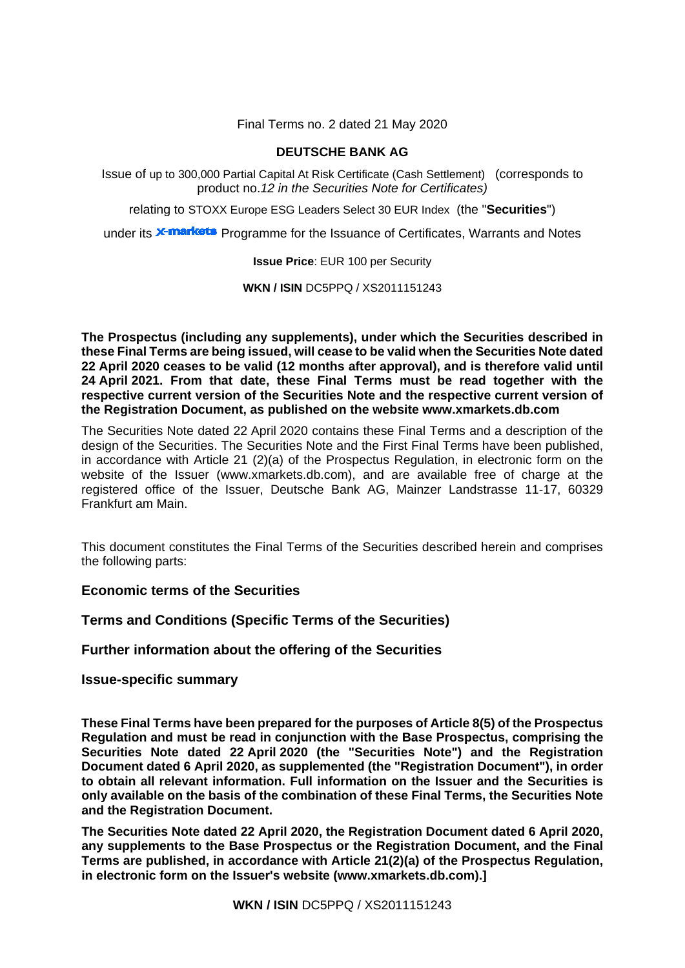Final Terms no. 2 dated 21 May 2020

# **DEUTSCHE BANK AG**

Issue of up to 300,000 Partial Capital At Risk Certificate (Cash Settlement) (corresponds to product no.*12 in the Securities Note for Certificates)*

relating to STOXX Europe ESG Leaders Select 30 EUR Index (the "**Securities**")

under its **X-markets** Programme for the Issuance of Certificates, Warrants and Notes

# **Issue Price**: EUR 100 per Security

**WKN / ISIN** DC5PPQ / XS2011151243

**The Prospectus (including any supplements), under which the Securities described in these Final Terms are being issued, will cease to be valid when the Securities Note dated 22 April 2020 ceases to be valid (12 months after approval), and is therefore valid until 24 April 2021. From that date, these Final Terms must be read together with the respective current version of the Securities Note and the respective current version of the Registration Document, as published on the website [www.xmarkets.db.com](http://www.xmarkets.db.com/)**

The Securities Note dated 22 April 2020 contains these Final Terms and a description of the design of the Securities. The Securities Note and the First Final Terms have been published, in accordance with Article 21 (2)(a) of the Prospectus Regulation, in electronic form on the website of the Issuer (www.xmarkets.db.com), and are available free of charge at the registered office of the Issuer, Deutsche Bank AG, Mainzer Landstrasse 11-17, 60329 Frankfurt am Main.

This document constitutes the Final Terms of the Securities described herein and comprises the following parts:

# **Economic terms of the Securities**

**Terms and Conditions (Specific Terms of the Securities)**

**Further information about the offering of the Securities**

**Issue-specific summary**

**These Final Terms have been prepared for the purposes of Article 8(5) of the Prospectus Regulation and must be read in conjunction with the Base Prospectus, comprising the Securities Note dated 22 April 2020 (the "Securities Note") and the Registration Document dated 6 April 2020, as supplemented (the "Registration Document"), in order to obtain all relevant information. Full information on the Issuer and the Securities is only available on the basis of the combination of these Final Terms, the Securities Note and the Registration Document.** 

**The Securities Note dated 22 April 2020, the Registration Document dated 6 April 2020, any supplements to the Base Prospectus or the Registration Document, and the Final Terms are published, in accordance with Article 21(2)(a) of the Prospectus Regulation, in electronic form on the Issuer's website [\(www.xmarkets.db.com\)](http://www.xmarkets.db.com/).]**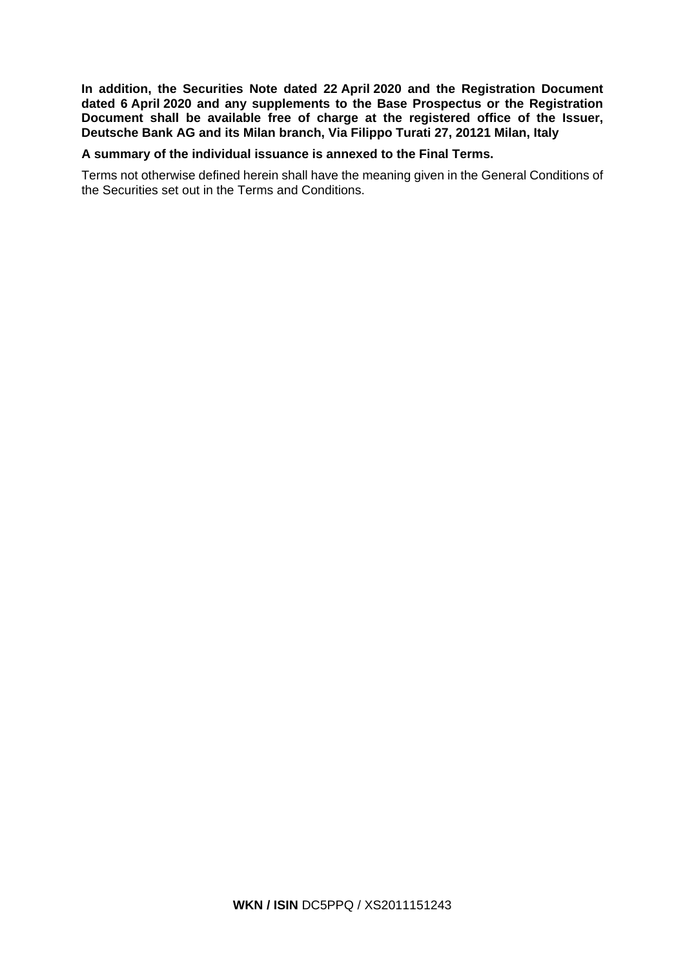**In addition, the Securities Note dated 22 April 2020 and the Registration Document dated 6 April 2020 and any supplements to the Base Prospectus or the Registration Document shall be available free of charge at the registered office of the Issuer, Deutsche Bank AG and its Milan branch, Via Filippo Turati 27, 20121 Milan, Italy**

# **A summary of the individual issuance is annexed to the Final Terms.**

Terms not otherwise defined herein shall have the meaning given in the General Conditions of the Securities set out in the Terms and Conditions.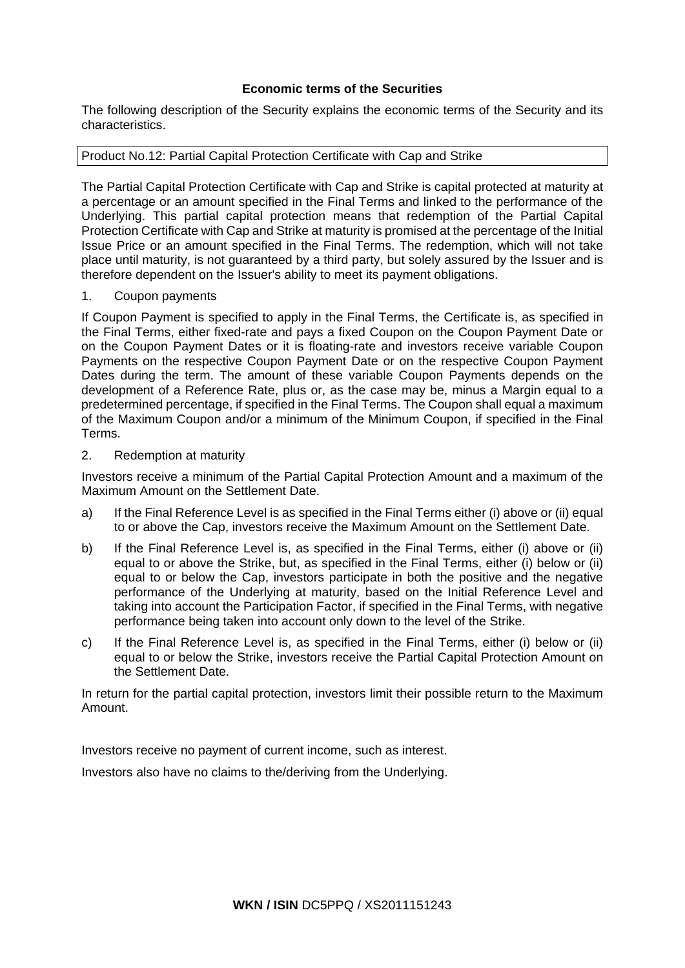# **Economic terms of the Securities**

The following description of the Security explains the economic terms of the Security and its characteristics.

Product No.12: Partial Capital Protection Certificate with Cap and Strike

The Partial Capital Protection Certificate with Cap and Strike is capital protected at maturity at a percentage or an amount specified in the Final Terms and linked to the performance of the Underlying. This partial capital protection means that redemption of the Partial Capital Protection Certificate with Cap and Strike at maturity is promised at the percentage of the Initial Issue Price or an amount specified in the Final Terms. The redemption, which will not take place until maturity, is not guaranteed by a third party, but solely assured by the Issuer and is therefore dependent on the Issuer's ability to meet its payment obligations.

# 1. Coupon payments

If Coupon Payment is specified to apply in the Final Terms, the Certificate is, as specified in the Final Terms, either fixed-rate and pays a fixed Coupon on the Coupon Payment Date or on the Coupon Payment Dates or it is floating-rate and investors receive variable Coupon Payments on the respective Coupon Payment Date or on the respective Coupon Payment Dates during the term. The amount of these variable Coupon Payments depends on the development of a Reference Rate, plus or, as the case may be, minus a Margin equal to a predetermined percentage, if specified in the Final Terms. The Coupon shall equal a maximum of the Maximum Coupon and/or a minimum of the Minimum Coupon, if specified in the Final Terms.

# 2. Redemption at maturity

Investors receive a minimum of the Partial Capital Protection Amount and a maximum of the Maximum Amount on the Settlement Date.

- a) If the Final Reference Level is as specified in the Final Terms either (i) above or (ii) equal to or above the Cap, investors receive the Maximum Amount on the Settlement Date.
- b) If the Final Reference Level is, as specified in the Final Terms, either (i) above or (ii) equal to or above the Strike, but, as specified in the Final Terms, either (i) below or (ii) equal to or below the Cap, investors participate in both the positive and the negative performance of the Underlying at maturity, based on the Initial Reference Level and taking into account the Participation Factor, if specified in the Final Terms, with negative performance being taken into account only down to the level of the Strike.
- c) If the Final Reference Level is, as specified in the Final Terms, either (i) below or (ii) equal to or below the Strike, investors receive the Partial Capital Protection Amount on the Settlement Date.

In return for the partial capital protection, investors limit their possible return to the Maximum Amount.

Investors receive no payment of current income, such as interest.

Investors also have no claims to the/deriving from the Underlying.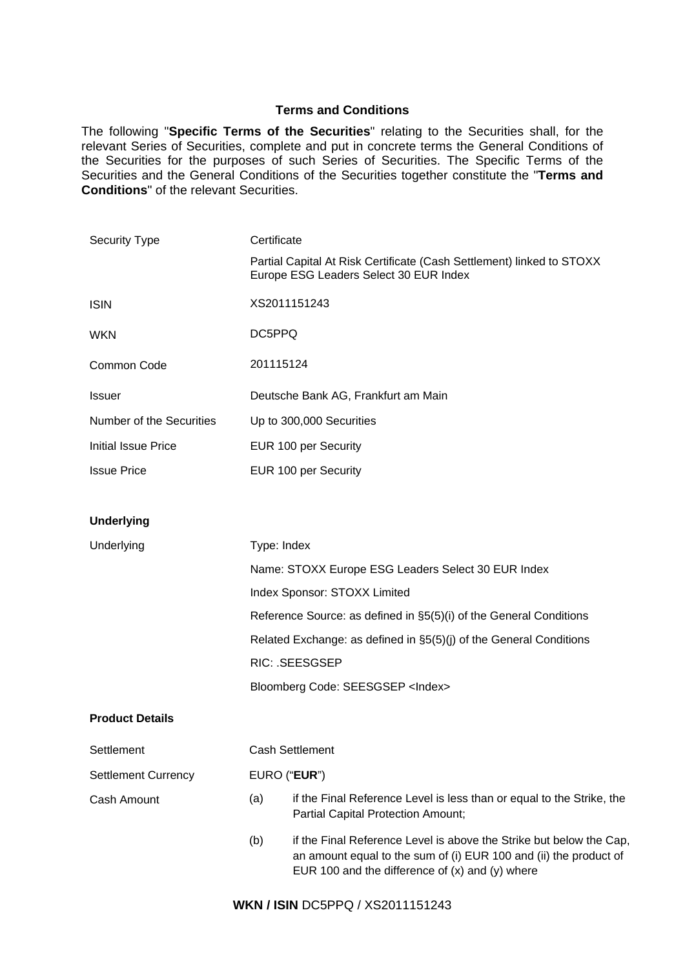# **Terms and Conditions**

The following "**Specific Terms of the Securities**" relating to the Securities shall, for the relevant Series of Securities, complete and put in concrete terms the General Conditions of the Securities for the purposes of such Series of Securities. The Specific Terms of the Securities and the General Conditions of the Securities together constitute the "**Terms and Conditions**" of the relevant Securities.

| <b>Security Type</b>       | Certificate                                                                                                     |  |  |
|----------------------------|-----------------------------------------------------------------------------------------------------------------|--|--|
|                            | Partial Capital At Risk Certificate (Cash Settlement) linked to STOXX<br>Europe ESG Leaders Select 30 EUR Index |  |  |
| <b>ISIN</b>                | XS2011151243                                                                                                    |  |  |
| <b>WKN</b>                 | DC5PPQ                                                                                                          |  |  |
| Common Code                | 201115124                                                                                                       |  |  |
| <b>Issuer</b>              | Deutsche Bank AG, Frankfurt am Main                                                                             |  |  |
| Number of the Securities   | Up to 300,000 Securities                                                                                        |  |  |
| <b>Initial Issue Price</b> | EUR 100 per Security                                                                                            |  |  |
| <b>Issue Price</b>         | EUR 100 per Security                                                                                            |  |  |
|                            |                                                                                                                 |  |  |
| <b>Underlying</b>          |                                                                                                                 |  |  |
| Underlying                 | Type: Index                                                                                                     |  |  |
|                            | Name: STOXX Europe ESG Leaders Select 30 EUR Index                                                              |  |  |
|                            | Index Sponsor: STOXX Limited                                                                                    |  |  |
|                            | Reference Source: as defined in §5(5)(i) of the General Conditions                                              |  |  |
|                            | Related Exchange: as defined in §5(5)(j) of the General Conditions                                              |  |  |
|                            | <b>RIC: .SEESGSEP</b>                                                                                           |  |  |
|                            | Bloomberg Code: SEESGSEP <index></index>                                                                        |  |  |
| <b>Product Details</b>     |                                                                                                                 |  |  |
| Settlement                 | <b>Cash Settlement</b>                                                                                          |  |  |
| <b>Settlement Currency</b> | EURO ("EUR")                                                                                                    |  |  |
| Cash Amount                | if the Final Reference Level is less than or equal to the Strike, the<br>(a)                                    |  |  |

(b) if the Final Reference Level is above the Strike but below the Cap, an amount equal to the sum of (i) EUR 100 and (ii) the product of EUR 100 and the difference of (x) and (y) where

Partial Capital Protection Amount;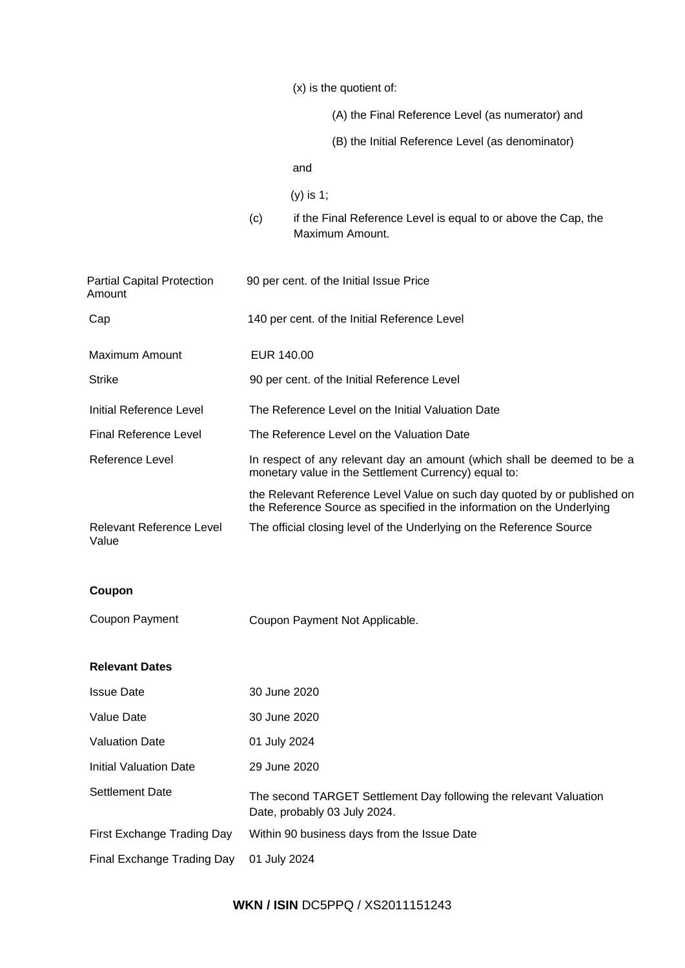(x) is the quotient of:

(A) the Final Reference Level (as numerator) and

(B) the Initial Reference Level (as denominator)

and

(y) is 1;

(c) if the Final Reference Level is equal to or above the Cap, the Maximum Amount.

| <b>Partial Capital Protection</b><br>Amount | 90 per cent. of the Initial Issue Price                                                                                                            |
|---------------------------------------------|----------------------------------------------------------------------------------------------------------------------------------------------------|
| Cap                                         | 140 per cent. of the Initial Reference Level                                                                                                       |
| Maximum Amount                              | EUR 140.00                                                                                                                                         |
| <b>Strike</b>                               | 90 per cent. of the Initial Reference Level                                                                                                        |
| Initial Reference Level                     | The Reference Level on the Initial Valuation Date                                                                                                  |
| <b>Final Reference Level</b>                | The Reference Level on the Valuation Date                                                                                                          |
| Reference Level                             | In respect of any relevant day an amount (which shall be deemed to be a<br>monetary value in the Settlement Currency) equal to:                    |
|                                             | the Relevant Reference Level Value on such day quoted by or published on<br>the Reference Source as specified in the information on the Underlying |
| <b>Relevant Reference Level</b><br>Value    | The official closing level of the Underlying on the Reference Source                                                                               |
| Coupon                                      |                                                                                                                                                    |
| Coupon Payment                              | Coupon Payment Not Applicable.                                                                                                                     |
| <b>Relevant Dates</b>                       |                                                                                                                                                    |
| <b>Issue Date</b>                           | 30 June 2020                                                                                                                                       |

| Value Date                 | 30 June 2020                                                                                      |
|----------------------------|---------------------------------------------------------------------------------------------------|
| <b>Valuation Date</b>      | 01 July 2024                                                                                      |
| Initial Valuation Date     | 29 June 2020                                                                                      |
| Settlement Date            | The second TARGET Settlement Day following the relevant Valuation<br>Date, probably 03 July 2024. |
| First Exchange Trading Day | Within 90 business days from the Issue Date                                                       |
| Final Exchange Trading Day | 01 July 2024                                                                                      |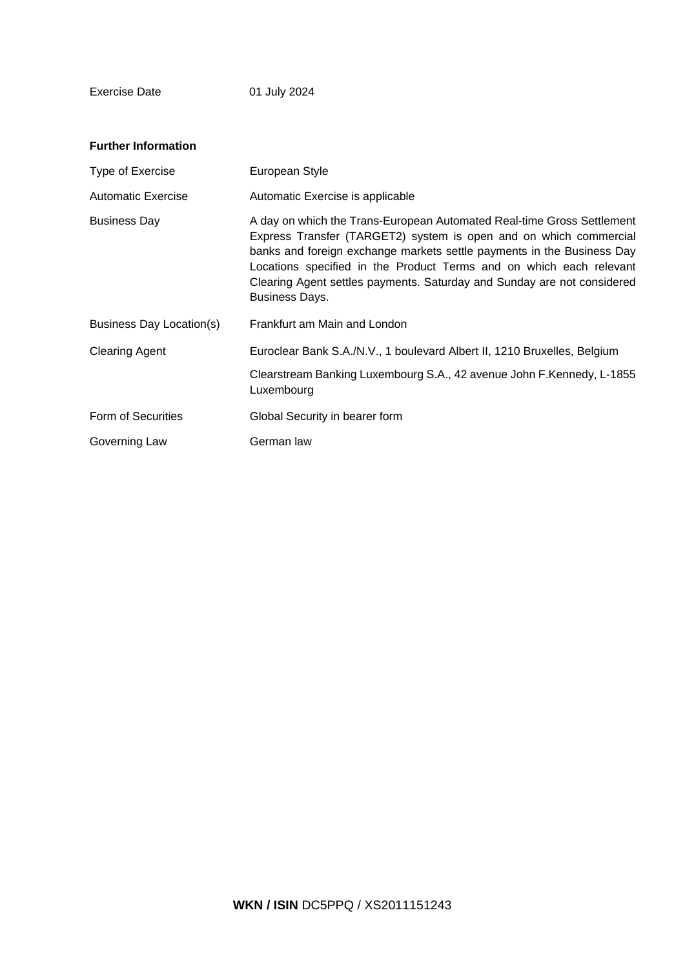Exercise Date 01 July 2024

| <b>Further Information</b>      |                                                                                                                                                                                                                                                                                                                                                                                                  |
|---------------------------------|--------------------------------------------------------------------------------------------------------------------------------------------------------------------------------------------------------------------------------------------------------------------------------------------------------------------------------------------------------------------------------------------------|
| Type of Exercise                | European Style                                                                                                                                                                                                                                                                                                                                                                                   |
| Automatic Exercise              | Automatic Exercise is applicable                                                                                                                                                                                                                                                                                                                                                                 |
| <b>Business Day</b>             | A day on which the Trans-European Automated Real-time Gross Settlement<br>Express Transfer (TARGET2) system is open and on which commercial<br>banks and foreign exchange markets settle payments in the Business Day<br>Locations specified in the Product Terms and on which each relevant<br>Clearing Agent settles payments. Saturday and Sunday are not considered<br><b>Business Days.</b> |
| <b>Business Day Location(s)</b> | Frankfurt am Main and London                                                                                                                                                                                                                                                                                                                                                                     |
| <b>Clearing Agent</b>           | Euroclear Bank S.A./N.V., 1 boulevard Albert II, 1210 Bruxelles, Belgium<br>Clearstream Banking Luxembourg S.A., 42 avenue John F.Kennedy, L-1855<br>Luxembourg                                                                                                                                                                                                                                  |
| Form of Securities              | Global Security in bearer form                                                                                                                                                                                                                                                                                                                                                                   |
| Governing Law                   | German law                                                                                                                                                                                                                                                                                                                                                                                       |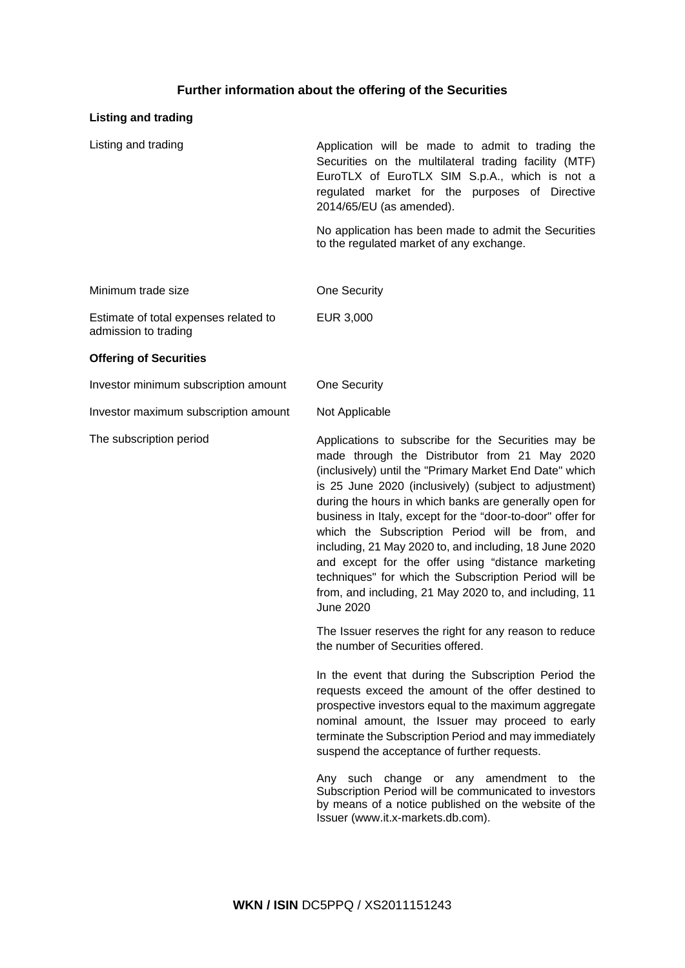# **Further information about the offering of the Securities**

# **Listing and trading**

| Listing and trading                                           | Application will be made to admit to trading the<br>Securities on the multilateral trading facility (MTF)<br>EuroTLX of EuroTLX SIM S.p.A., which is not a<br>regulated market for the purposes of Directive<br>2014/65/EU (as amended). |
|---------------------------------------------------------------|------------------------------------------------------------------------------------------------------------------------------------------------------------------------------------------------------------------------------------------|
|                                                               | No application has been made to admit the Securities<br>to the regulated market of any exchange.                                                                                                                                         |
| Minimum trade size                                            | One Security                                                                                                                                                                                                                             |
| Estimate of total expenses related to<br>admission to trading | EUR 3,000                                                                                                                                                                                                                                |
| <b>Offering of Securities</b>                                 |                                                                                                                                                                                                                                          |
| Investor minimum subscription amount                          | One Security                                                                                                                                                                                                                             |

Investor maximum subscription amount Not Applicable

The subscription period The subscribe for the Securities may be made through the Distributor from 21 May 2020 (inclusively) until the "Primary Market End Date" which is 25 June 2020 (inclusively) (subject to adjustment) during the hours in which banks are generally open for business in Italy, except for the "door-to-door" offer for which the Subscription Period will be from, and including, 21 May 2020 to, and including, 18 June 2020 and except for the offer using "distance marketing techniques" for which the Subscription Period will be from, and including, 21 May 2020 to, and including, 11 June 2020

> The Issuer reserves the right for any reason to reduce the number of Securities offered.

> In the event that during the Subscription Period the requests exceed the amount of the offer destined to prospective investors equal to the maximum aggregate nominal amount, the Issuer may proceed to early terminate the Subscription Period and may immediately suspend the acceptance of further requests.

> Any such change or any amendment to the Subscription Period will be communicated to investors by means of a notice published on the website of the Issuer [\(www.it.x-markets.db.com\)](http://www.it.x-markets.db.com)/).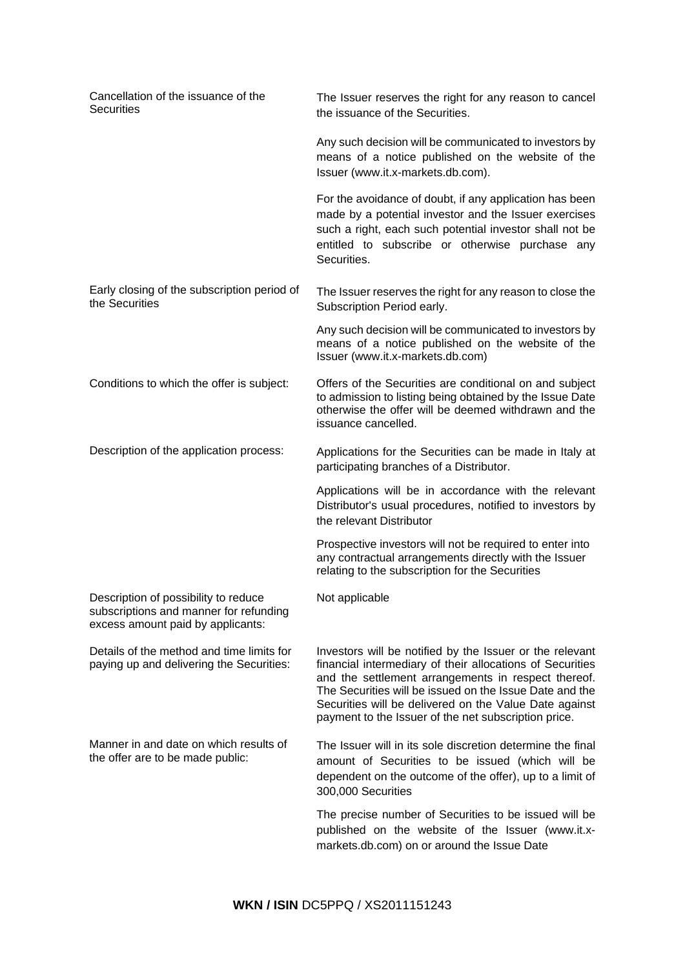| Cancellation of the issuance of the<br><b>Securities</b>                                                            | The Issuer reserves the right for any reason to cancel<br>the issuance of the Securities.                                                                                                                                                                                                                                                                 |
|---------------------------------------------------------------------------------------------------------------------|-----------------------------------------------------------------------------------------------------------------------------------------------------------------------------------------------------------------------------------------------------------------------------------------------------------------------------------------------------------|
|                                                                                                                     | Any such decision will be communicated to investors by<br>means of a notice published on the website of the<br>Issuer (www.it.x-markets.db.com).                                                                                                                                                                                                          |
|                                                                                                                     | For the avoidance of doubt, if any application has been<br>made by a potential investor and the Issuer exercises<br>such a right, each such potential investor shall not be<br>entitled to subscribe or otherwise purchase any<br>Securities.                                                                                                             |
| Early closing of the subscription period of<br>the Securities                                                       | The Issuer reserves the right for any reason to close the<br>Subscription Period early.                                                                                                                                                                                                                                                                   |
|                                                                                                                     | Any such decision will be communicated to investors by<br>means of a notice published on the website of the<br>Issuer (www.it.x-markets.db.com)                                                                                                                                                                                                           |
| Conditions to which the offer is subject:                                                                           | Offers of the Securities are conditional on and subject<br>to admission to listing being obtained by the Issue Date<br>otherwise the offer will be deemed withdrawn and the<br>issuance cancelled.                                                                                                                                                        |
| Description of the application process:                                                                             | Applications for the Securities can be made in Italy at<br>participating branches of a Distributor.                                                                                                                                                                                                                                                       |
|                                                                                                                     | Applications will be in accordance with the relevant<br>Distributor's usual procedures, notified to investors by<br>the relevant Distributor                                                                                                                                                                                                              |
|                                                                                                                     | Prospective investors will not be required to enter into<br>any contractual arrangements directly with the Issuer<br>relating to the subscription for the Securities                                                                                                                                                                                      |
| Description of possibility to reduce<br>subscriptions and manner for refunding<br>excess amount paid by applicants: | Not applicable                                                                                                                                                                                                                                                                                                                                            |
| Details of the method and time limits for<br>paying up and delivering the Securities:                               | Investors will be notified by the Issuer or the relevant<br>financial intermediary of their allocations of Securities<br>and the settlement arrangements in respect thereof.<br>The Securities will be issued on the Issue Date and the<br>Securities will be delivered on the Value Date against<br>payment to the Issuer of the net subscription price. |
| Manner in and date on which results of<br>the offer are to be made public:                                          | The Issuer will in its sole discretion determine the final<br>amount of Securities to be issued (which will be<br>dependent on the outcome of the offer), up to a limit of<br>300,000 Securities                                                                                                                                                          |
|                                                                                                                     | The precise number of Securities to be issued will be<br>published on the website of the Issuer (www.it.x-<br>markets.db.com) on or around the Issue Date                                                                                                                                                                                                 |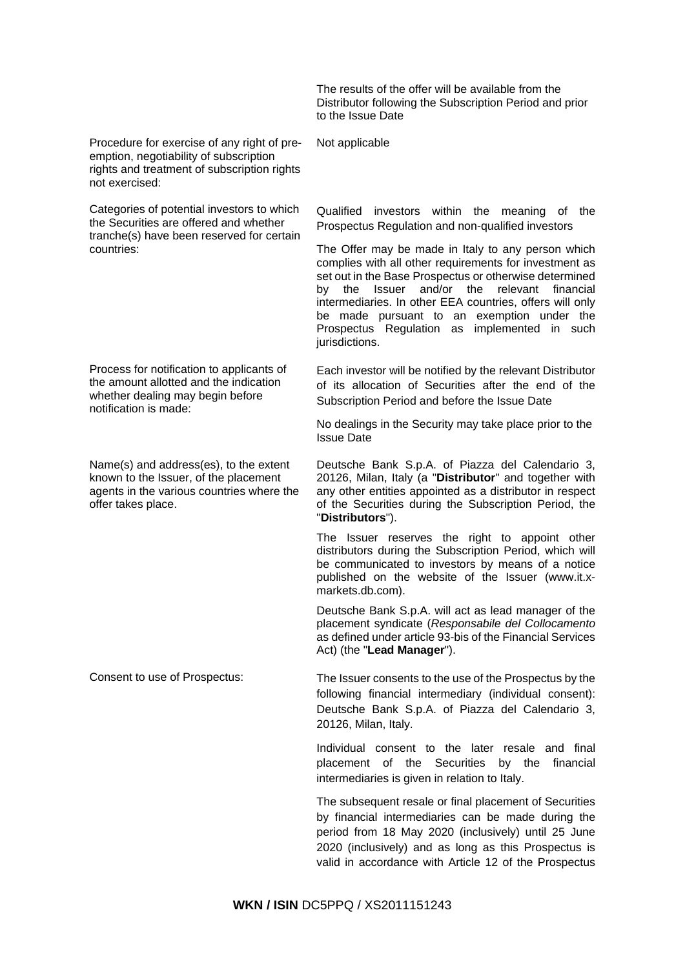The results of the offer will be available from the Distributor following the Subscription Period and prior to the Issue Date

Procedure for exercise of any right of preemption, negotiability of subscription rights and treatment of subscription rights not exercised:

Categories of potential investors to which the Securities are offered and whether tranche(s) have been reserved for certain countries:

Process for notification to applicants of the amount allotted and the indication whether dealing may begin before notification is made:

Name(s) and address(es), to the extent known to the Issuer, of the placement agents in the various countries where the offer takes place.

Not applicable

Qualified investors within the meaning of the Prospectus Regulation and non-qualified investors

The Offer may be made in Italy to any person which complies with all other requirements for investment as set out in the Base Prospectus or otherwise determined by the Issuer and/or the relevant financial intermediaries. In other EEA countries, offers will only be made pursuant to an exemption under the Prospectus Regulation as implemented in such jurisdictions.

Each investor will be notified by the relevant Distributor of its allocation of Securities after the end of the Subscription Period and before the Issue Date

No dealings in the Security may take place prior to the Issue Date

Deutsche Bank S.p.A. of Piazza del Calendario 3, 20126, Milan, Italy (a "**Distributor**" and together with any other entities appointed as a distributor in respect of the Securities during the Subscription Period, the "**Distributors**").

The Issuer reserves the right to appoint other distributors during the Subscription Period, which will be communicated to investors by means of a notice published on the website of the Issuer (www.it.xmarkets.db.com).

Deutsche Bank S.p.A. will act as lead manager of the placement syndicate (*Responsabile del Collocamento* as defined under article 93-bis of the Financial Services Act) (the "**Lead Manager**").

Consent to use of Prospectus: The Issuer consents to the use of the Prospectus by the following financial intermediary (individual consent): Deutsche Bank S.p.A. of Piazza del Calendario 3, 20126, Milan, Italy.

> Individual consent to the later resale and final placement of the Securities by the financial intermediaries is given in relation to Italy.

> The subsequent resale or final placement of Securities by financial intermediaries can be made during the period from 18 May 2020 (inclusively) until 25 June 2020 (inclusively) and as long as this Prospectus is valid in accordance with Article 12 of the Prospectus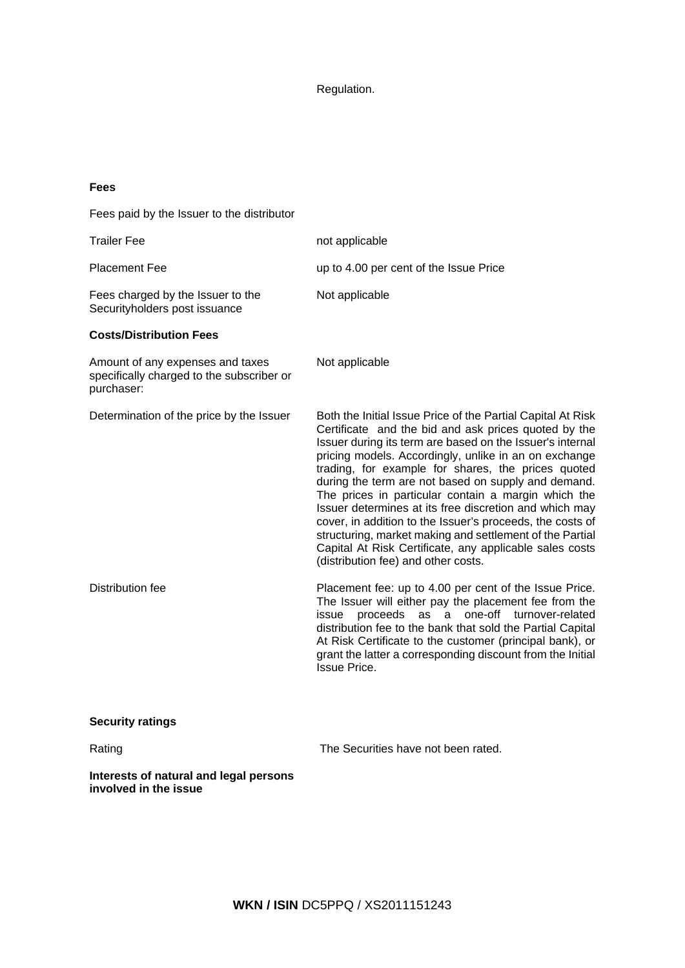Regulation.

# **Fees**

Fees paid by the Issuer to the distributor Trailer Fee not applicable Placement Fee up to 4.00 per cent of the Issue Price Fees charged by the Issuer to the Securityholders post issuance Not applicable **Costs/Distribution Fees** Amount of any expenses and taxes specifically charged to the subscriber or purchaser: Not applicable Determination of the price by the Issuer Both the Initial Issue Price of the Partial Capital At Risk Certificate and the bid and ask prices quoted by the Issuer during its term are based on the Issuer's internal pricing models. Accordingly, unlike in an on exchange trading, for example for shares, the prices quoted during the term are not based on supply and demand. The prices in particular contain a margin which the Issuer determines at its free discretion and which may cover, in addition to the Issuer's proceeds, the costs of structuring, market making and settlement of the Partial Capital At Risk Certificate, any applicable sales costs (distribution fee) and other costs. Distribution fee Placement fee: up to 4.00 per cent of the Issue Price. The Issuer will either pay the placement fee from the issue proceeds as a one-off turnover-related distribution fee to the bank that sold the Partial Capital At Risk Certificate to the customer (principal bank), or grant the latter a corresponding discount from the Initial Issue Price. **Security ratings** Rating Rating **The Securities have not been rated. Interests of natural and legal persons involved in the issue**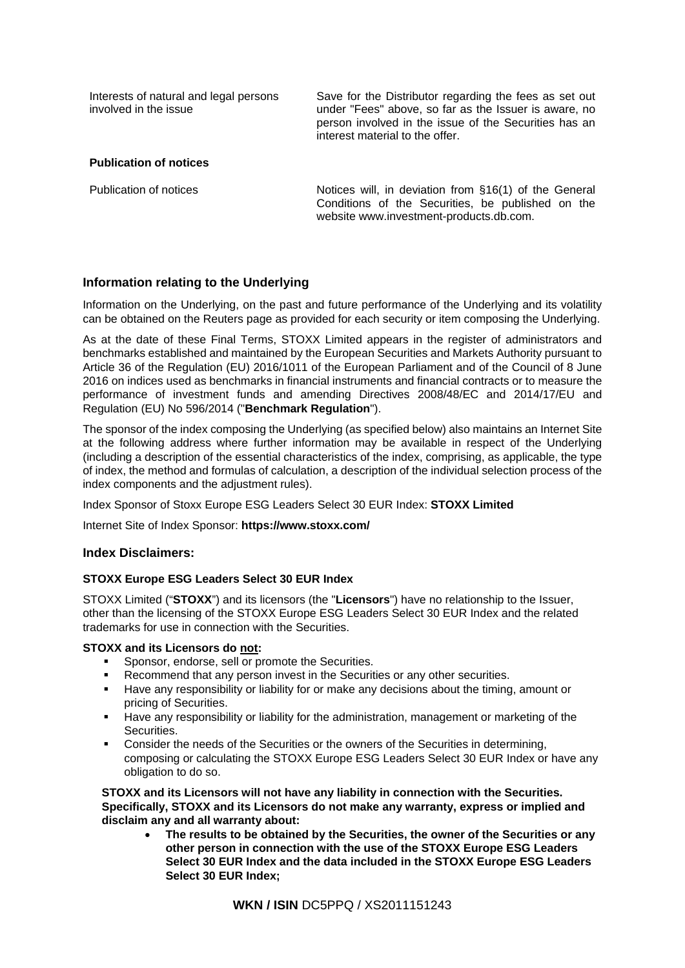| Interests of natural and legal persons |  |
|----------------------------------------|--|
| involved in the issue                  |  |

Save for the Distributor regarding the fees as set out under "Fees" above, so far as the Issuer is aware, no person involved in the issue of the Securities has an interest material to the offer.

# **Publication of notices**

Publication of notices Notices will, in deviation from §16(1) of the General Conditions of the Securities, be published on the website www.investment-products.db.com.

# **Information relating to the Underlying**

Information on the Underlying, on the past and future performance of the Underlying and its volatility can be obtained on the Reuters page as provided for each security or item composing the Underlying.

As at the date of these Final Terms, STOXX Limited appears in the register of administrators and benchmarks established and maintained by the European Securities and Markets Authority pursuant to Article 36 of the Regulation (EU) 2016/1011 of the European Parliament and of the Council of 8 June 2016 on indices used as benchmarks in financial instruments and financial contracts or to measure the performance of investment funds and amending Directives 2008/48/EC and 2014/17/EU and Regulation (EU) No 596/2014 ("**Benchmark Regulation**").

The sponsor of the index composing the Underlying (as specified below) also maintains an Internet Site at the following address where further information may be available in respect of the Underlying (including a description of the essential characteristics of the index, comprising, as applicable, the type of index, the method and formulas of calculation, a description of the individual selection process of the index components and the adjustment rules).

Index Sponsor of Stoxx Europe ESG Leaders Select 30 EUR Index: **STOXX Limited**

Internet Site of Index Sponsor: **https://www.stoxx.com/**

# **Index Disclaimers:**

# **STOXX Europe ESG Leaders Select 30 EUR Index**

STOXX Limited ("**STOXX**") and its licensors (the "**Licensors**") have no relationship to the Issuer, other than the licensing of the STOXX Europe ESG Leaders Select 30 EUR Index and the related trademarks for use in connection with the Securities.

# **STOXX and its Licensors do not:**

- Sponsor, endorse, sell or promote the Securities.
- Recommend that any person invest in the Securities or any other securities.
- **Have any responsibility or liability for or make any decisions about the timing, amount or** pricing of Securities.
- **Have any responsibility or liability for the administration, management or marketing of the** Securities.
- Consider the needs of the Securities or the owners of the Securities in determining, composing or calculating the STOXX Europe ESG Leaders Select 30 EUR Index or have any obligation to do so.

**STOXX and its Licensors will not have any liability in connection with the Securities. Specifically, STOXX and its Licensors do not make any warranty, express or implied and disclaim any and all warranty about:**

• **The results to be obtained by the Securities, the owner of the Securities or any other person in connection with the use of the STOXX Europe ESG Leaders Select 30 EUR Index and the data included in the STOXX Europe ESG Leaders Select 30 EUR Index;**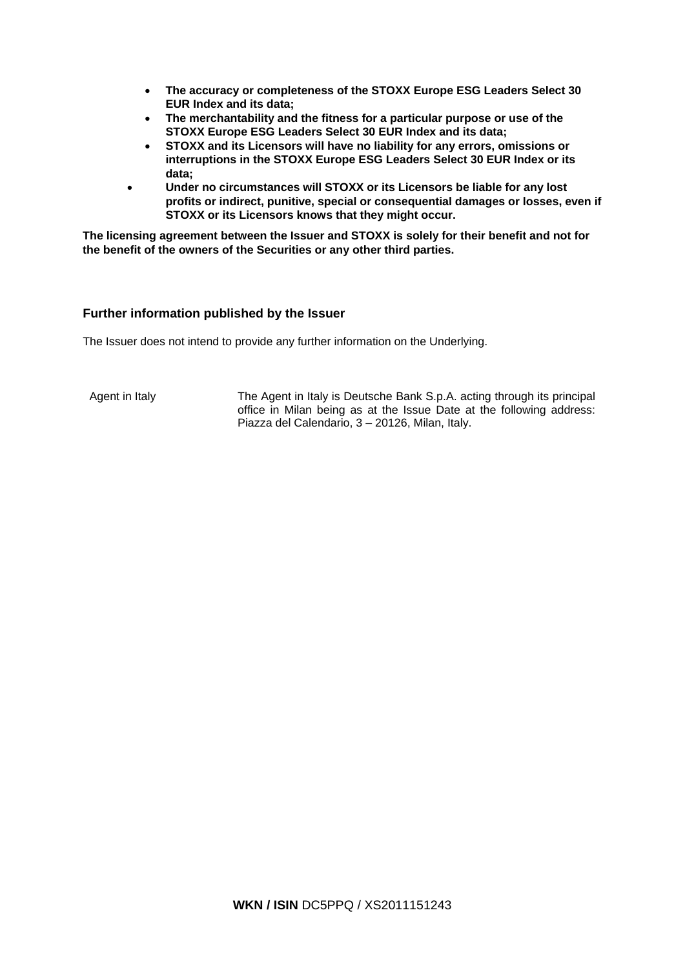- **The accuracy or completeness of the STOXX Europe ESG Leaders Select 30 EUR Index and its data;**
- **The merchantability and the fitness for a particular purpose or use of the STOXX Europe ESG Leaders Select 30 EUR Index and its data;**
- **STOXX and its Licensors will have no liability for any errors, omissions or interruptions in the STOXX Europe ESG Leaders Select 30 EUR Index or its data;**
- **Under no circumstances will STOXX or its Licensors be liable for any lost profits or indirect, punitive, special or consequential damages or losses, even if STOXX or its Licensors knows that they might occur.**

**The licensing agreement between the Issuer and STOXX is solely for their benefit and not for the benefit of the owners of the Securities or any other third parties.**

# **Further information published by the Issuer**

The Issuer does not intend to provide any further information on the Underlying.

Agent in Italy The Agent in Italy is Deutsche Bank S.p.A. acting through its principal office in Milan being as at the Issue Date at the following address: Piazza del Calendario, 3 – 20126, Milan, Italy.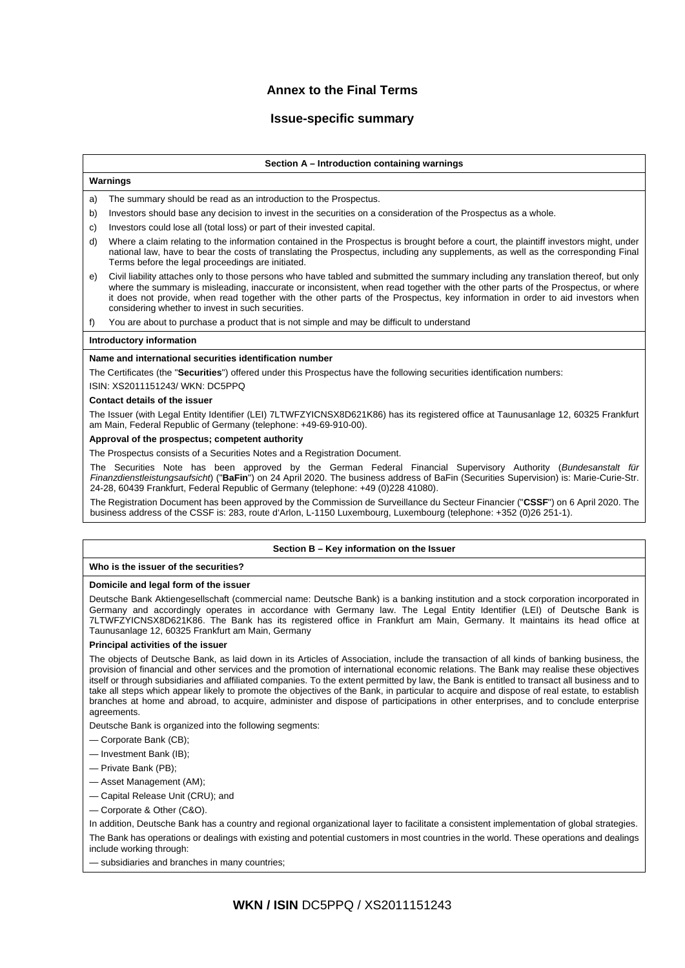# **Annex to the Final Terms**

# **Issue-specific summary**

### **Section A – Introduction containing warnings**

# **Warnings**

- a) The summary should be read as an introduction to the Prospectus.
- b) Investors should base any decision to invest in the securities on a consideration of the Prospectus as a whole.
- c) Investors could lose all (total loss) or part of their invested capital.
- d) Where a claim relating to the information contained in the Prospectus is brought before a court, the plaintiff investors might, under national law, have to bear the costs of translating the Prospectus, including any supplements, as well as the corresponding Final Terms before the legal proceedings are initiated.
- e) Civil liability attaches only to those persons who have tabled and submitted the summary including any translation thereof, but only where the summary is misleading, inaccurate or inconsistent, when read together with the other parts of the Prospectus, or where it does not provide, when read together with the other parts of the Prospectus, key information in order to aid investors when considering whether to invest in such securities.

f) You are about to purchase a product that is not simple and may be difficult to understand

### **Introductory information**

### **Name and international securities identification number**

The Certificates (the "**Securities**") offered under this Prospectus have the following securities identification numbers:

ISIN: XS2011151243/ WKN: DC5PPQ

#### **Contact details of the issue**

The Issuer (with Legal Entity Identifier (LEI) 7LTWFZYICNSX8D621K86) has its registered office at Taunusanlage 12, 60325 Frankfurt am Main, Federal Republic of Germany (telephone: +49-69-910-00).

### **Approval of the prospectus; competent authority**

The Prospectus consists of a Securities Notes and a Registration Document.

The Securities Note has been approved by the German Federal Financial Supervisory Authority (*Bundesanstalt für Finanzdienstleistungsaufsicht*) ("**BaFin**") on 24 April 2020. The business address of BaFin (Securities Supervision) is: Marie-Curie-Str. 24-28, 60439 Frankfurt, Federal Republic of Germany (telephone: +49 (0)228 41080).

The Registration Document has been approved by the Commission de Surveillance du Secteur Financier ("**CSSF**") on 6 April 2020. The business address of the CSSF is: 283, route d'Arlon, L-1150 Luxembourg, Luxembourg (telephone: +352 (0)26 251-1).

### **Section B – Key information on the Issuer**

# **Who is the issuer of the securities?**

### **Domicile and legal form of the issuer**

Deutsche Bank Aktiengesellschaft (commercial name: Deutsche Bank) is a banking institution and a stock corporation incorporated in Germany and accordingly operates in accordance with Germany law. The Legal Entity Identifier (LEI) of Deutsche Bank is 7LTWFZYICNSX8D621K86. The Bank has its registered office in Frankfurt am Main, Germany. It maintains its head office at Taunusanlage 12, 60325 Frankfurt am Main, Germany

### **Principal activities of the issuer**

The objects of Deutsche Bank, as laid down in its Articles of Association, include the transaction of all kinds of banking business, the provision of financial and other services and the promotion of international economic relations. The Bank may realise these objectives itself or through subsidiaries and affiliated companies. To the extent permitted by law, the Bank is entitled to transact all business and to take all steps which appear likely to promote the objectives of the Bank, in particular to acquire and dispose of real estate, to establish branches at home and abroad, to acquire, administer and dispose of participations in other enterprises, and to conclude enterprise agreements.

Deutsche Bank is organized into the following segments:

- Corporate Bank (CB);
- Investment Bank (IB);
- Private Bank (PB);
- Asset Management (AM);
- Capital Release Unit (CRU); and
- Corporate & Other (C&O).

In addition, Deutsche Bank has a country and regional organizational layer to facilitate a consistent implementation of global strategies. The Bank has operations or dealings with existing and potential customers in most countries in the world. These operations and dealings include working through:

— subsidiaries and branches in many countries;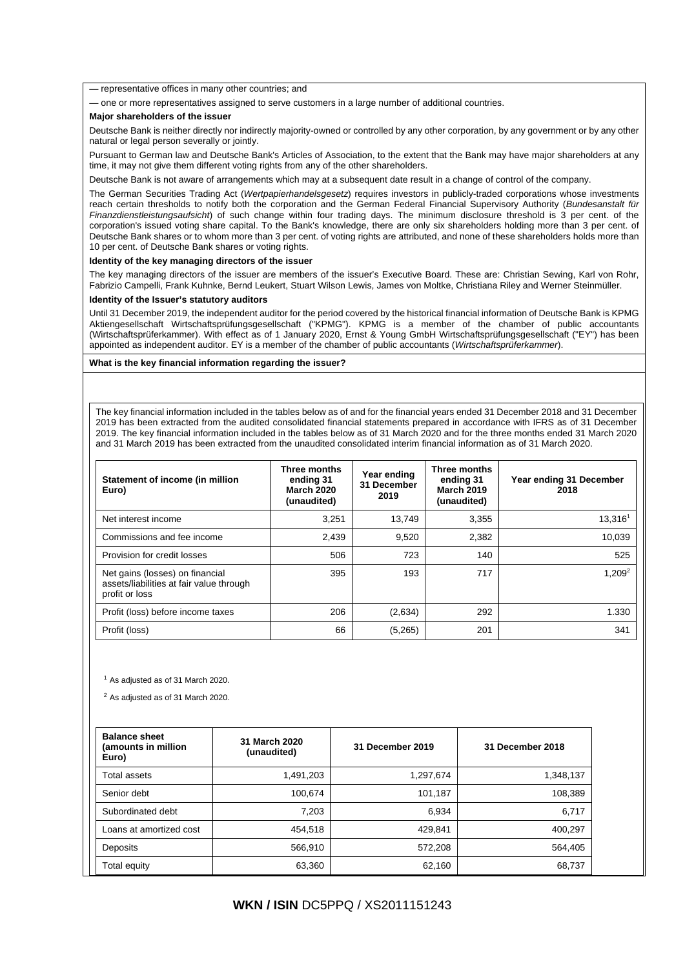— representative offices in many other countries; and

— one or more representatives assigned to serve customers in a large number of additional countries.

#### **Major shareholders of the issuer**

Deutsche Bank is neither directly nor indirectly majority-owned or controlled by any other corporation, by any government or by any other natural or legal person severally or jointly.

Pursuant to German law and Deutsche Bank's Articles of Association, to the extent that the Bank may have major shareholders at any time, it may not give them different voting rights from any of the other shareholders.

Deutsche Bank is not aware of arrangements which may at a subsequent date result in a change of control of the company.

The German Securities Trading Act (*Wertpapierhandelsgesetz*) requires investors in publicly-traded corporations whose investments reach certain thresholds to notify both the corporation and the German Federal Financial Supervisory Authority (*Bundesanstalt für Finanzdienstleistungsaufsicht*) of such change within four trading days. The minimum disclosure threshold is 3 per cent. of the corporation's issued voting share capital. To the Bank's knowledge, there are only six shareholders holding more than 3 per cent. of Deutsche Bank shares or to whom more than 3 per cent. of voting rights are attributed, and none of these shareholders holds more than 10 per cent. of Deutsche Bank shares or voting rights.

#### **Identity of the key managing directors of the issuer**

The key managing directors of the issuer are members of the issuer's Executive Board. These are: Christian Sewing, Karl von Rohr, Fabrizio Campelli, Frank Kuhnke, Bernd Leukert, Stuart Wilson Lewis, James von Moltke, Christiana Riley and Werner Steinmüller.

#### **Identity of the Issuer's statutory auditors**

Until 31 December 2019, the independent auditor for the period covered by the historical financial information of Deutsche Bank is KPMG Aktiengesellschaft Wirtschaftsprüfungsgesellschaft ("KPMG"). KPMG is a member of the chamber of public accountants (Wirtschaftsprüferkammer). With effect as of 1 January 2020, Ernst & Young GmbH Wirtschaftsprüfungsgesellschaft ("EY") has been appointed as independent auditor. EY is a member of the chamber of public accountants (*Wirtschaftsprüferkammer*).

#### **What is the key financial information regarding the issuer?**

The key financial information included in the tables below as of and for the financial years ended 31 December 2018 and 31 December 2019 has been extracted from the audited consolidated financial statements prepared in accordance with IFRS as of 31 December 2019. The key financial information included in the tables below as of 31 March 2020 and for the three months ended 31 March 2020 and 31 March 2019 has been extracted from the unaudited consolidated interim financial information as of 31 March 2020.

| Statement of income (in million<br>Euro)                                                      | Three months<br>ending 31<br><b>March 2020</b><br>(unaudited) | Year ending<br>31 December<br>2019 | Three months<br>ending 31<br><b>March 2019</b><br>(unaudited) | Year ending 31 December<br>2018 |
|-----------------------------------------------------------------------------------------------|---------------------------------------------------------------|------------------------------------|---------------------------------------------------------------|---------------------------------|
| Net interest income                                                                           | 3,251                                                         | 13.749                             | 3,355                                                         | 13,3161                         |
| Commissions and fee income                                                                    | 2,439                                                         | 9,520                              | 2,382                                                         | 10,039                          |
| Provision for credit losses                                                                   | 506                                                           | 723                                | 140                                                           | 525                             |
| Net gains (losses) on financial<br>assets/liabilities at fair value through<br>profit or loss | 395                                                           | 193                                | 717                                                           | 1.209 <sup>2</sup>              |
| Profit (loss) before income taxes                                                             | 206                                                           | (2,634)                            | 292                                                           | 1.330                           |
| Profit (loss)                                                                                 | 66                                                            | (5,265)                            | 201                                                           | 341                             |

<sup>1</sup> As adjusted as of 31 March 2020.

<sup>2</sup> As adjusted as of 31 March 2020.

| <b>Balance sheet</b><br>(amounts in million<br>Euro) | 31 March 2020<br>(unaudited) | 31 December 2019 | 31 December 2018 |
|------------------------------------------------------|------------------------------|------------------|------------------|
| Total assets                                         | 1,491,203                    | 1,297,674        | 1,348,137        |
| Senior debt                                          | 100,674                      | 101,187          | 108,389          |
| Subordinated debt                                    | 7.203                        | 6,934            | 6,717            |
| Loans at amortized cost                              | 454,518                      | 429,841          | 400,297          |
| Deposits                                             | 566,910                      | 572,208          | 564,405          |
| Total equity                                         | 63,360                       | 62,160           | 68,737           |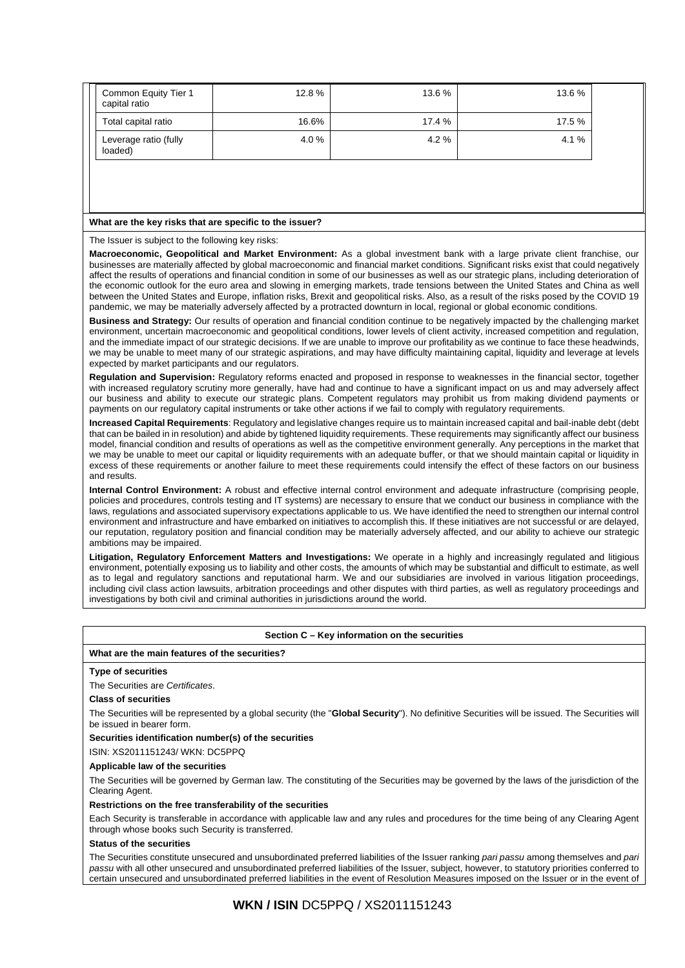| Common Equity Tier 1<br>capital ratio | 12.8% | 13.6 % | 13.6 % |
|---------------------------------------|-------|--------|--------|
| Total capital ratio                   | 16.6% | 17.4 % | 17.5 % |
| Leverage ratio (fully<br>loaded)      | 4.0%  | 4.2%   | 4.1%   |

#### **What are the key risks that are specific to the issuer?**

The Issuer is subject to the following key risks:

**Macroeconomic, Geopolitical and Market Environment:** As a global investment bank with a large private client franchise, our businesses are materially affected by global macroeconomic and financial market conditions. Significant risks exist that could negatively affect the results of operations and financial condition in some of our businesses as well as our strategic plans, including deterioration of the economic outlook for the euro area and slowing in emerging markets, trade tensions between the United States and China as well between the United States and Europe, inflation risks, Brexit and geopolitical risks. Also, as a result of the risks posed by the COVID 19 pandemic, we may be materially adversely affected by a protracted downturn in local, regional or global economic conditions.

**Business and Strategy:** Our results of operation and financial condition continue to be negatively impacted by the challenging market environment, uncertain macroeconomic and geopolitical conditions, lower levels of client activity, increased competition and regulation, and the immediate impact of our strategic decisions. If we are unable to improve our profitability as we continue to face these headwinds, we may be unable to meet many of our strategic aspirations, and may have difficulty maintaining capital, liquidity and leverage at levels expected by market participants and our regulators.

**Regulation and Supervision:** Regulatory reforms enacted and proposed in response to weaknesses in the financial sector, together with increased regulatory scrutiny more generally, have had and continue to have a significant impact on us and may adversely affect our business and ability to execute our strategic plans. Competent regulators may prohibit us from making dividend payments or payments on our regulatory capital instruments or take other actions if we fail to comply with regulatory requirements.

**Increased Capital Requirements**: Regulatory and legislative changes require us to maintain increased capital and bail-inable debt (debt that can be bailed in in resolution) and abide by tightened liquidity requirements. These requirements may significantly affect our business model, financial condition and results of operations as well as the competitive environment generally. Any perceptions in the market that we may be unable to meet our capital or liquidity requirements with an adequate buffer, or that we should maintain capital or liquidity in excess of these requirements or another failure to meet these requirements could intensify the effect of these factors on our business and results.

**Internal Control Environment:** A robust and effective internal control environment and adequate infrastructure (comprising people, policies and procedures, controls testing and IT systems) are necessary to ensure that we conduct our business in compliance with the laws, regulations and associated supervisory expectations applicable to us. We have identified the need to strengthen our internal control environment and infrastructure and have embarked on initiatives to accomplish this. If these initiatives are not successful or are delayed, our reputation, regulatory position and financial condition may be materially adversely affected, and our ability to achieve our strategic ambitions may be impaired.

**Litigation, Regulatory Enforcement Matters and Investigations:** We operate in a highly and increasingly regulated and litigious environment, potentially exposing us to liability and other costs, the amounts of which may be substantial and difficult to estimate, as well as to legal and regulatory sanctions and reputational harm. We and our subsidiaries are involved in various litigation proceedings, including civil class action lawsuits, arbitration proceedings and other disputes with third parties, as well as regulatory proceedings and investigations by both civil and criminal authorities in jurisdictions around the world.

## **Section C – Key information on the securities**

#### **What are the main features of the securities?**

### **Type of securities**

The Securities are *Certificates*.

#### **Class of securities**

The Securities will be represented by a global security (the "Global Security"). No definitive Securities will be issued. The Securities will be issued in bearer form.

### **Securities identification number(s) of the securities**

ISIN: XS2011151243/ WKN: DC5PPQ

#### **Applicable law of the securities**

The Securities will be governed by German law. The constituting of the Securities may be governed by the laws of the jurisdiction of the Clearing Agent.

#### **Restrictions on the free transferability of the securities**

Each Security is transferable in accordance with applicable law and any rules and procedures for the time being of any Clearing Agent through whose books such Security is transferred.

### **Status of the securities**

The Securities constitute unsecured and unsubordinated preferred liabilities of the Issuer ranking *pari passu* among themselves and *pari passu* with all other unsecured and unsubordinated preferred liabilities of the Issuer, subject, however, to statutory priorities conferred to certain unsecured and unsubordinated preferred liabilities in the event of Resolution Measures imposed on the Issuer or in the event of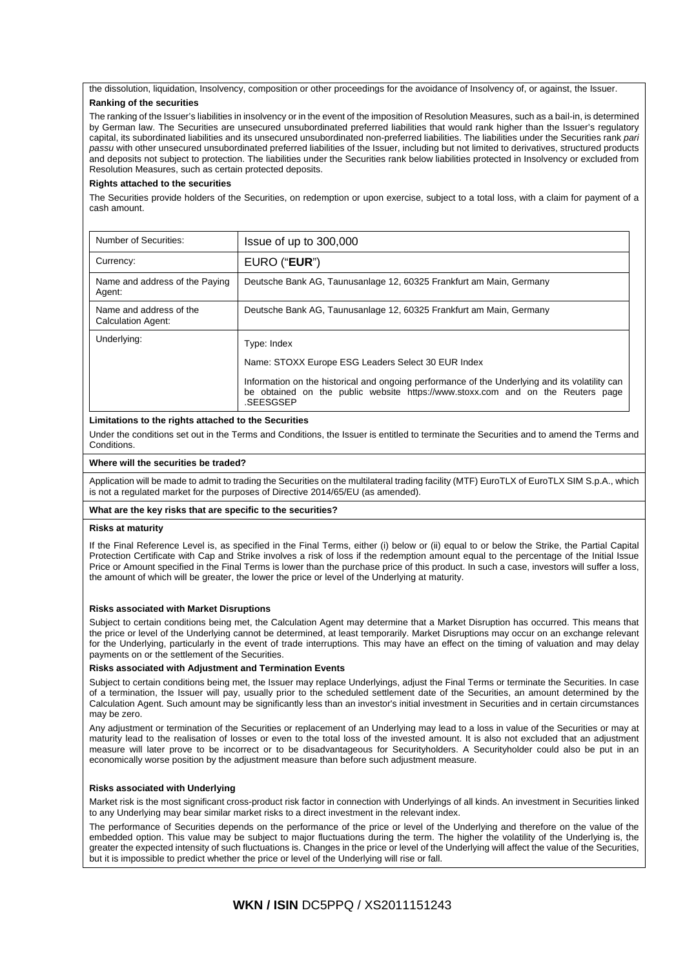the dissolution, liquidation, Insolvency, composition or other proceedings for the avoidance of Insolvency of, or against, the Issuer.

### **Ranking of the securities**

The ranking of the Issuer's liabilities in insolvency or in the event of the imposition of Resolution Measures, such as a bail-in, is determined by German law. The Securities are unsecured unsubordinated preferred liabilities that would rank higher than the Issuer's regulatory capital, its subordinated liabilities and its unsecured unsubordinated non-preferred liabilities. The liabilities under the Securities rank *pari passu* with other unsecured unsubordinated preferred liabilities of the Issuer, including but not limited to derivatives, structured products and deposits not subject to protection. The liabilities under the Securities rank below liabilities protected in Insolvency or excluded from Resolution Measures, such as certain protected deposits.

### **Rights attached to the securities**

The Securities provide holders of the Securities, on redemption or upon exercise, subject to a total loss, with a claim for payment of a cash amount.

| Number of Securities:                         | Issue of up to 300,000                                                                                                                                                                                                                                              |
|-----------------------------------------------|---------------------------------------------------------------------------------------------------------------------------------------------------------------------------------------------------------------------------------------------------------------------|
| Currency:                                     | EURO ("EUR")                                                                                                                                                                                                                                                        |
| Name and address of the Paying<br>Agent:      | Deutsche Bank AG, Taunusanlage 12, 60325 Frankfurt am Main, Germany                                                                                                                                                                                                 |
| Name and address of the<br>Calculation Agent: | Deutsche Bank AG, Taunusanlage 12, 60325 Frankfurt am Main, Germany                                                                                                                                                                                                 |
| Underlying:                                   | Type: Index<br>Name: STOXX Europe ESG Leaders Select 30 EUR Index<br>Information on the historical and ongoing performance of the Underlying and its volatility can<br>be obtained on the public website https://www.stoxx.com and on the Reuters page<br>.SEESGSEP |

### **Limitations to the rights attached to the Securities**

Under the conditions set out in the Terms and Conditions, the Issuer is entitled to terminate the Securities and to amend the Terms and Conditions.

### **Where will the securities be traded?**

Application will be made to admit to trading the Securities on the multilateral trading facility (MTF) EuroTLX of EuroTLX SIM S.p.A., which is not a regulated market for the purposes of Directive 2014/65/EU (as amended).

### **What are the key risks that are specific to the securities?**

#### **Risks at maturity**

If the Final Reference Level is, as specified in the Final Terms, either (i) below or (ii) equal to or below the Strike, the Partial Capital Protection Certificate with Cap and Strike involves a risk of loss if the redemption amount equal to the percentage of the Initial Issue Price or Amount specified in the Final Terms is lower than the purchase price of this product. In such a case, investors will suffer a loss, the amount of which will be greater, the lower the price or level of the Underlying at maturity.

### **Risks associated with Market Disruptions**

Subject to certain conditions being met, the Calculation Agent may determine that a Market Disruption has occurred. This means that the price or level of the Underlying cannot be determined, at least temporarily. Market Disruptions may occur on an exchange relevant for the Underlying, particularly in the event of trade interruptions. This may have an effect on the timing of valuation and may delay payments on or the settlement of the Securities.

### **Risks associated with Adjustment and Termination Events**

Subject to certain conditions being met, the Issuer may replace Underlyings, adjust the Final Terms or terminate the Securities. In case of a termination, the Issuer will pay, usually prior to the scheduled settlement date of the Securities, an amount determined by the Calculation Agent. Such amount may be significantly less than an investor's initial investment in Securities and in certain circumstances may be zero.

Any adjustment or termination of the Securities or replacement of an Underlying may lead to a loss in value of the Securities or may at maturity lead to the realisation of losses or even to the total loss of the invested amount. It is also not excluded that an adjustment measure will later prove to be incorrect or to be disadvantageous for Securityholders. A Securityholder could also be put in an economically worse position by the adjustment measure than before such adjustment measure.

### **Risks associated with Underlying**

Market risk is the most significant cross-product risk factor in connection with Underlyings of all kinds. An investment in Securities linked to any Underlying may bear similar market risks to a direct investment in the relevant index.

The performance of Securities depends on the performance of the price or level of the Underlying and therefore on the value of the embedded option. This value may be subject to major fluctuations during the term. The higher the volatility of the Underlying is, the greater the expected intensity of such fluctuations is. Changes in the price or level of the Underlying will affect the value of the Securities, but it is impossible to predict whether the price or level of the Underlying will rise or fall.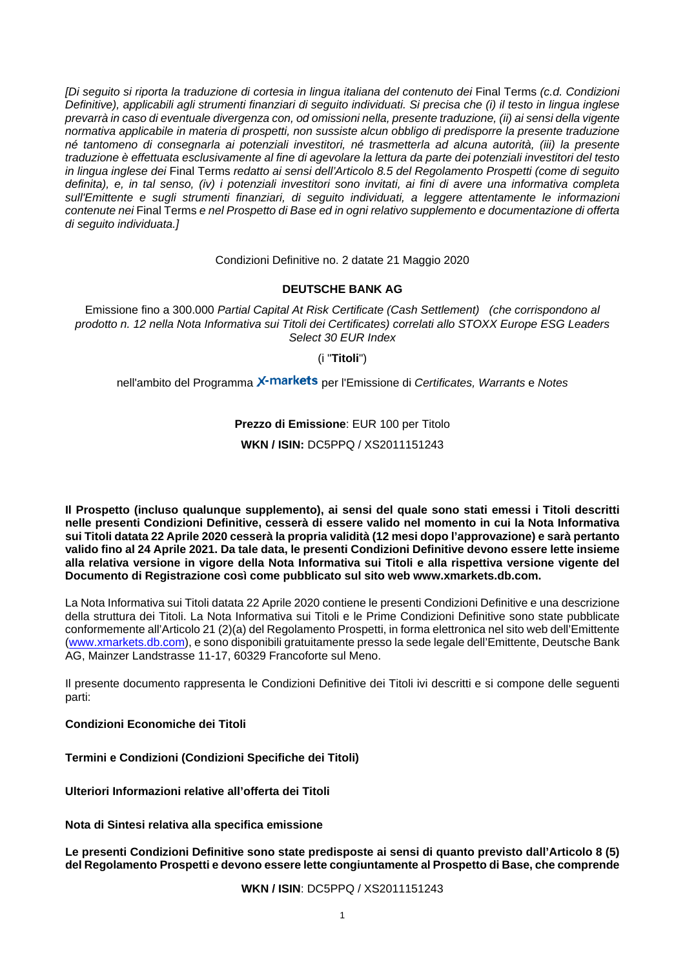*[Di seguito si riporta la traduzione di cortesia in lingua italiana del contenuto dei* Final Terms *(c.d. Condizioni Definitive), applicabili agli strumenti finanziari di seguito individuati. Si precisa che (i) il testo in lingua inglese prevarrà in caso di eventuale divergenza con, od omissioni nella, presente traduzione, (ii) ai sensi della vigente normativa applicabile in materia di prospetti, non sussiste alcun obbligo di predisporre la presente traduzione né tantomeno di consegnarla ai potenziali investitori, né trasmetterla ad alcuna autorità, (iii) la presente traduzione è effettuata esclusivamente al fine di agevolare la lettura da parte dei potenziali investitori del testo in lingua inglese dei* Final Terms *redatto ai sensi dell'Articolo 8.5 del Regolamento Prospetti (come di seguito definita), e, in tal senso, (iv) i potenziali investitori sono invitati, ai fini di avere una informativa completa sull'Emittente e sugli strumenti finanziari, di seguito individuati, a leggere attentamente le informazioni contenute nei* Final Terms *e nel Prospetto di Base ed in ogni relativo supplemento e documentazione di offerta di seguito individuata.]*

Condizioni Definitive no. 2 datate 21 Maggio 2020

# **DEUTSCHE BANK AG**

Emissione fino a 300.000 *Partial Capital At Risk Certificate (Cash Settlement) (che corrispondono al prodotto n. 12 nella Nota Informativa sui Titoli dei Certificates) correlati allo STOXX Europe ESG Leaders Select 30 EUR Index* 

(i "**Titoli**")

nell'ambito del Programma X<sup>-</sup>markets per l'Emissione di Certificates, Warrants e Notes

# **Prezzo di Emissione**: EUR 100 per Titolo

# **WKN / ISIN:** DC5PPQ / XS2011151243

**Il Prospetto (incluso qualunque supplemento), ai sensi del quale sono stati emessi i Titoli descritti nelle presenti Condizioni Definitive, cesserà di essere valido nel momento in cui la Nota Informativa sui Titoli datata 22 Aprile 2020 cesserà la propria validità (12 mesi dopo l'approvazione) e sarà pertanto valido fino al 24 Aprile 2021. Da tale data, le presenti Condizioni Definitive devono essere lette insieme alla relativa versione in vigore della Nota Informativa sui Titoli e alla rispettiva versione vigente del Documento di Registrazione così come pubblicato sul sito web www.xmarkets.db.com.**

La Nota Informativa sui Titoli datata 22 Aprile 2020 contiene le presenti Condizioni Definitive e una descrizione della struttura dei Titoli. La Nota Informativa sui Titoli e le Prime Condizioni Definitive sono state pubblicate conformemente all'Articolo 21 (2)(a) del Regolamento Prospetti, in forma elettronica nel sito web dell'Emittente [\(www.xmarkets.db.com\)](http://www.xmarkets.db.com/), e sono disponibili gratuitamente presso la sede legale dell'Emittente, Deutsche Bank AG, Mainzer Landstrasse 11-17, 60329 Francoforte sul Meno.

Il presente documento rappresenta le Condizioni Definitive dei Titoli ivi descritti e si compone delle seguenti parti:

# **Condizioni Economiche dei Titoli**

**Termini e Condizioni (Condizioni Specifiche dei Titoli)**

**Ulteriori Informazioni relative all'offerta dei Titoli**

**Nota di Sintesi relativa alla specifica emissione**

**Le presenti Condizioni Definitive sono state predisposte ai sensi di quanto previsto dall'Articolo 8 (5) del Regolamento Prospetti e devono essere lette congiuntamente al Prospetto di Base, che comprende**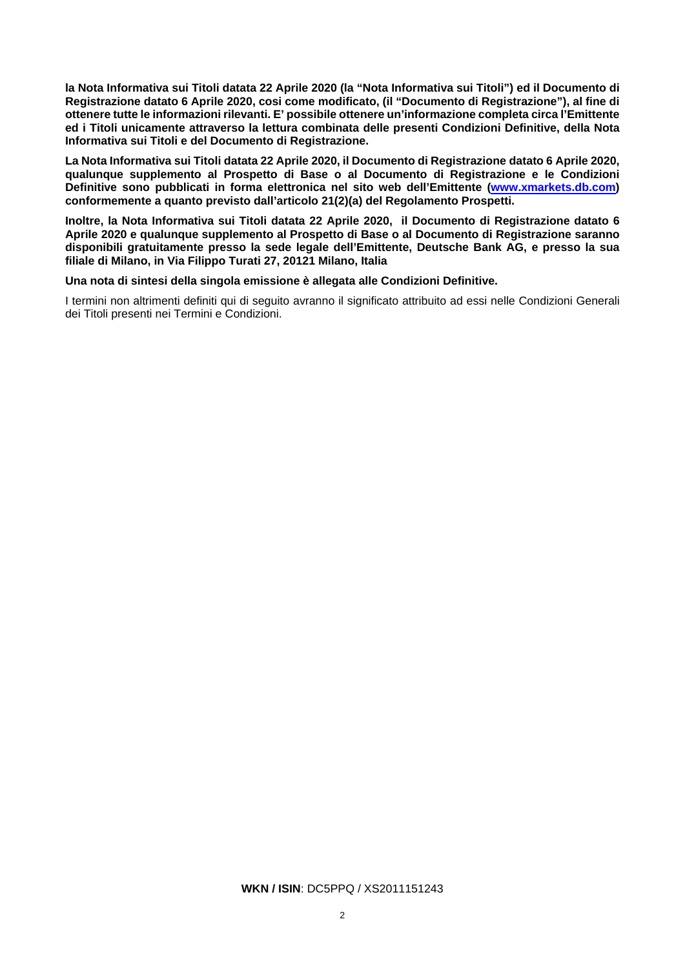**la Nota Informativa sui Titoli datata 22 Aprile 2020 (la "Nota Informativa sui Titoli") ed il Documento di Registrazione datato 6 Aprile 2020, cosi come modificato, (il "Documento di Registrazione"), al fine di ottenere tutte le informazioni rilevanti. E' possibile ottenere un'informazione completa circa l'Emittente ed i Titoli unicamente attraverso la lettura combinata delle presenti Condizioni Definitive, della Nota Informativa sui Titoli e del Documento di Registrazione.**

**La Nota Informativa sui Titoli datata 22 Aprile 2020, il Documento di Registrazione datato 6 Aprile 2020, qualunque supplemento al Prospetto di Base o al Documento di Registrazione e le Condizioni Definitive sono pubblicati in forma elettronica nel sito web dell'Emittente [\(www.xmarkets.db.com\)](http://www.xmarkets.db.com/) conformemente a quanto previsto dall'articolo 21(2)(a) del Regolamento Prospetti.**

**Inoltre, la Nota Informativa sui Titoli datata 22 Aprile 2020, il Documento di Registrazione datato 6 Aprile 2020 e qualunque supplemento al Prospetto di Base o al Documento di Registrazione saranno disponibili gratuitamente presso la sede legale dell'Emittente, Deutsche Bank AG, e presso la sua filiale di Milano, in Via Filippo Turati 27, 20121 Milano, Italia**

### **Una nota di sintesi della singola emissione è allegata alle Condizioni Definitive.**

I termini non altrimenti definiti qui di seguito avranno il significato attribuito ad essi nelle Condizioni Generali dei Titoli presenti nei Termini e Condizioni.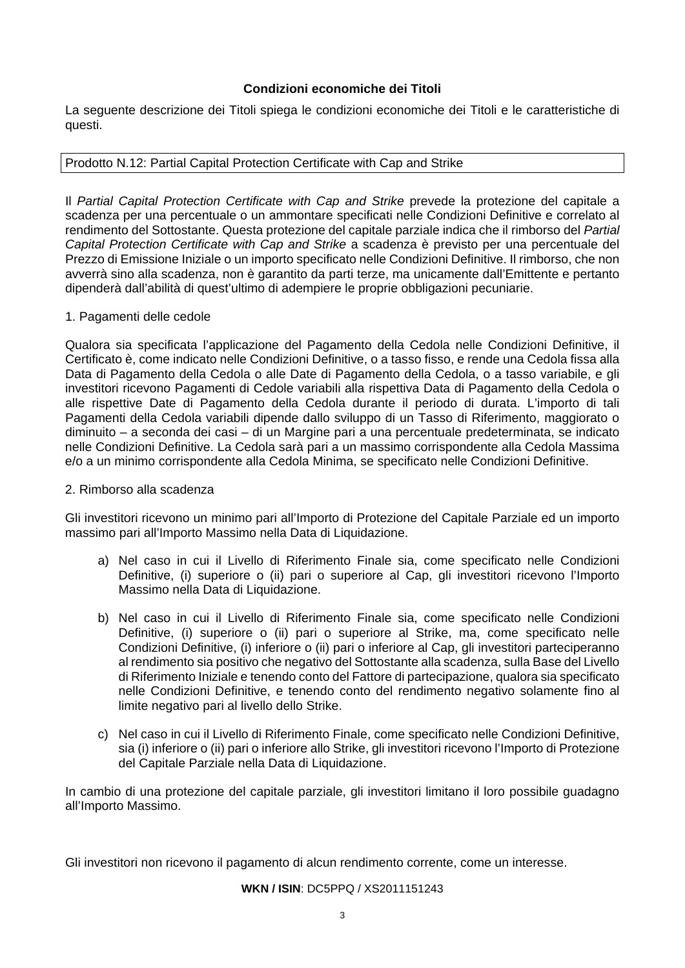# **Condizioni economiche dei Titoli**

La seguente descrizione dei Titoli spiega le condizioni economiche dei Titoli e le caratteristiche di questi.

# Prodotto N.12: Partial Capital Protection Certificate with Cap and Strike

Il *Partial Capital Protection Certificate with Cap and Strike* prevede la protezione del capitale a scadenza per una percentuale o un ammontare specificati nelle Condizioni Definitive e correlato al rendimento del Sottostante. Questa protezione del capitale parziale indica che il rimborso del *Partial Capital Protection Certificate with Cap and Strike* a scadenza è previsto per una percentuale del Prezzo di Emissione Iniziale o un importo specificato nelle Condizioni Definitive. Il rimborso, che non avverrà sino alla scadenza, non è garantito da parti terze, ma unicamente dall'Emittente e pertanto dipenderà dall'abilità di quest'ultimo di adempiere le proprie obbligazioni pecuniarie.

# 1. Pagamenti delle cedole

Qualora sia specificata l'applicazione del Pagamento della Cedola nelle Condizioni Definitive, il Certificato è, come indicato nelle Condizioni Definitive, o a tasso fisso, e rende una Cedola fissa alla Data di Pagamento della Cedola o alle Date di Pagamento della Cedola, o a tasso variabile, e gli investitori ricevono Pagamenti di Cedole variabili alla rispettiva Data di Pagamento della Cedola o alle rispettive Date di Pagamento della Cedola durante il periodo di durata. L'importo di tali Pagamenti della Cedola variabili dipende dallo sviluppo di un Tasso di Riferimento, maggiorato o diminuito – a seconda dei casi – di un Margine pari a una percentuale predeterminata, se indicato nelle Condizioni Definitive. La Cedola sarà pari a un massimo corrispondente alla Cedola Massima e/o a un minimo corrispondente alla Cedola Minima, se specificato nelle Condizioni Definitive.

# 2. Rimborso alla scadenza

Gli investitori ricevono un minimo pari all'Importo di Protezione del Capitale Parziale ed un importo massimo pari all'Importo Massimo nella Data di Liquidazione.

- a) Nel caso in cui il Livello di Riferimento Finale sia, come specificato nelle Condizioni Definitive, (i) superiore o (ii) pari o superiore al Cap, gli investitori ricevono l'Importo Massimo nella Data di Liquidazione.
- b) Nel caso in cui il Livello di Riferimento Finale sia, come specificato nelle Condizioni Definitive, (i) superiore o (ii) pari o superiore al Strike, ma, come specificato nelle Condizioni Definitive, (i) inferiore o (ii) pari o inferiore al Cap, gli investitori parteciperanno al rendimento sia positivo che negativo del Sottostante alla scadenza, sulla Base del Livello di Riferimento Iniziale e tenendo conto del Fattore di partecipazione, qualora sia specificato nelle Condizioni Definitive, e tenendo conto del rendimento negativo solamente fino al limite negativo pari al livello dello Strike.
- c) Nel caso in cui il Livello di Riferimento Finale, come specificato nelle Condizioni Definitive, sia (i) inferiore o (ii) pari o inferiore allo Strike, gli investitori ricevono l'Importo di Protezione del Capitale Parziale nella Data di Liquidazione.

In cambio di una protezione del capitale parziale, gli investitori limitano il loro possibile guadagno all'Importo Massimo.

Gli investitori non ricevono il pagamento di alcun rendimento corrente, come un interesse.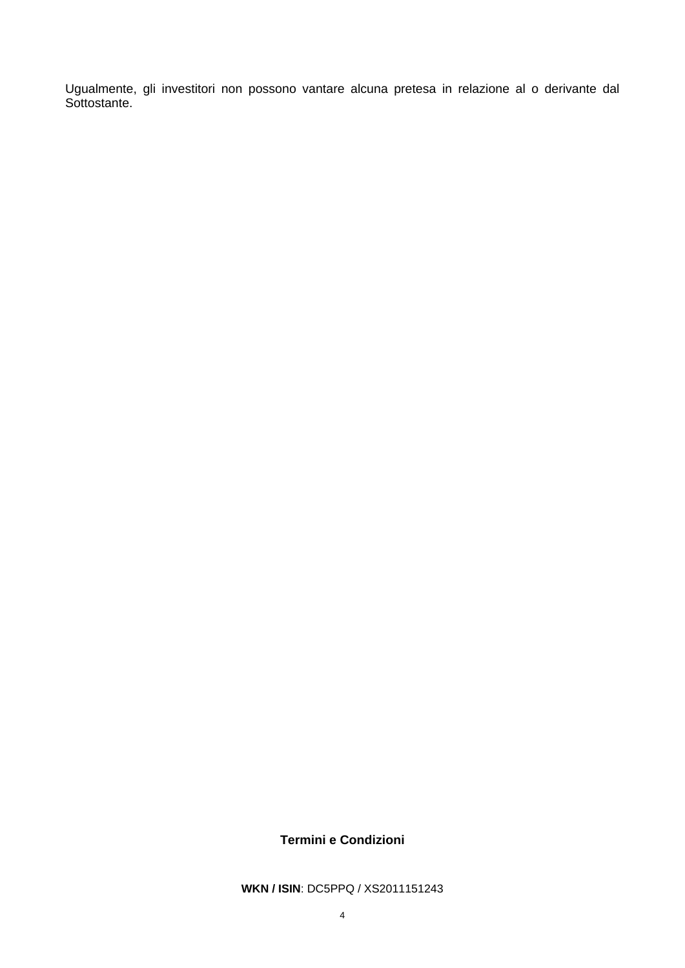Ugualmente, gli investitori non possono vantare alcuna pretesa in relazione al o derivante dal Sottostante.

# **Termini e Condizioni**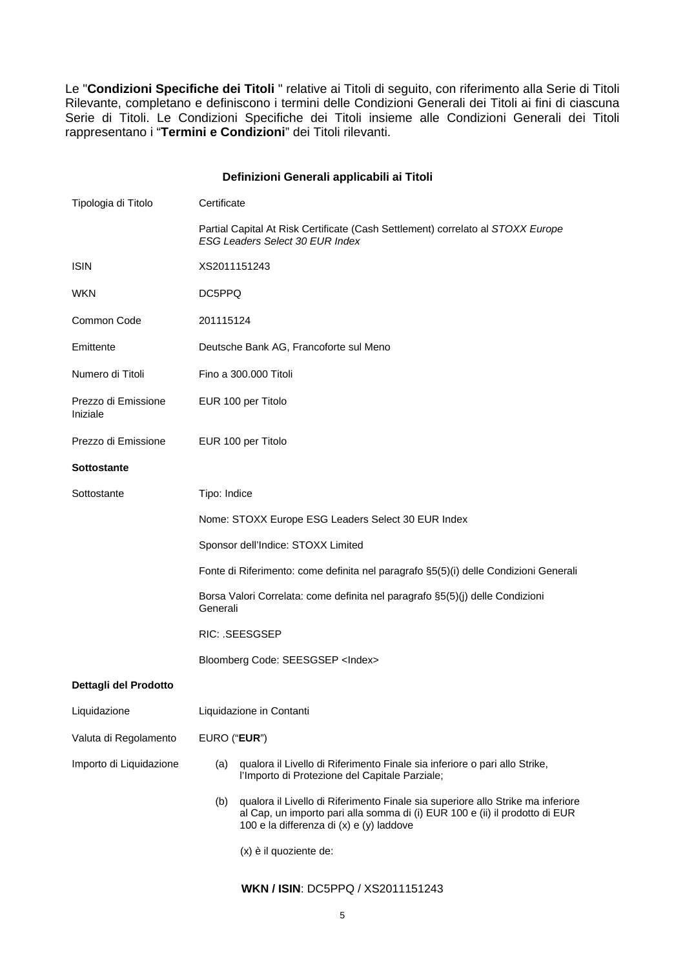Le "**Condizioni Specifiche dei Titoli** " relative ai Titoli di seguito, con riferimento alla Serie di Titoli Rilevante, completano e definiscono i termini delle Condizioni Generali dei Titoli ai fini di ciascuna Serie di Titoli. Le Condizioni Specifiche dei Titoli insieme alle Condizioni Generali dei Titoli rappresentano i "**Termini e Condizioni**" dei Titoli rilevanti.

# **Definizioni Generali applicabili ai Titoli**

| Tipologia di Titolo             | Certificate                                                                                                                                                                                                       |  |  |
|---------------------------------|-------------------------------------------------------------------------------------------------------------------------------------------------------------------------------------------------------------------|--|--|
|                                 | Partial Capital At Risk Certificate (Cash Settlement) correlato al STOXX Europe<br>ESG Leaders Select 30 EUR Index                                                                                                |  |  |
| <b>ISIN</b>                     | XS2011151243                                                                                                                                                                                                      |  |  |
| <b>WKN</b>                      | DC5PPQ                                                                                                                                                                                                            |  |  |
| Common Code                     | 201115124                                                                                                                                                                                                         |  |  |
| Emittente                       | Deutsche Bank AG, Francoforte sul Meno                                                                                                                                                                            |  |  |
| Numero di Titoli                | Fino a 300.000 Titoli                                                                                                                                                                                             |  |  |
| Prezzo di Emissione<br>Iniziale | EUR 100 per Titolo                                                                                                                                                                                                |  |  |
| Prezzo di Emissione             | EUR 100 per Titolo                                                                                                                                                                                                |  |  |
| <b>Sottostante</b>              |                                                                                                                                                                                                                   |  |  |
| Sottostante                     | Tipo: Indice                                                                                                                                                                                                      |  |  |
|                                 | Nome: STOXX Europe ESG Leaders Select 30 EUR Index                                                                                                                                                                |  |  |
|                                 | Sponsor dell'Indice: STOXX Limited                                                                                                                                                                                |  |  |
|                                 | Fonte di Riferimento: come definita nel paragrafo §5(5)(i) delle Condizioni Generali                                                                                                                              |  |  |
|                                 | Borsa Valori Correlata: come definita nel paragrafo §5(5)(j) delle Condizioni<br>Generali                                                                                                                         |  |  |
|                                 | RIC: .SEESGSEP                                                                                                                                                                                                    |  |  |
|                                 | Bloomberg Code: SEESGSEP <index></index>                                                                                                                                                                          |  |  |
| Dettagli del Prodotto           |                                                                                                                                                                                                                   |  |  |
| Liquidazione                    | Liquidazione in Contanti                                                                                                                                                                                          |  |  |
| Valuta di Regolamento           | EURO ("EUR")                                                                                                                                                                                                      |  |  |
| Importo di Liquidazione         | qualora il Livello di Riferimento Finale sia inferiore o pari allo Strike,<br>(a)<br>l'Importo di Protezione del Capitale Parziale;                                                                               |  |  |
|                                 | qualora il Livello di Riferimento Finale sia superiore allo Strike ma inferiore<br>(b)<br>al Cap, un importo pari alla somma di (i) EUR 100 e (ii) il prodotto di EUR<br>100 e la differenza di (x) e (y) laddove |  |  |
|                                 | (x) è il quoziente de:                                                                                                                                                                                            |  |  |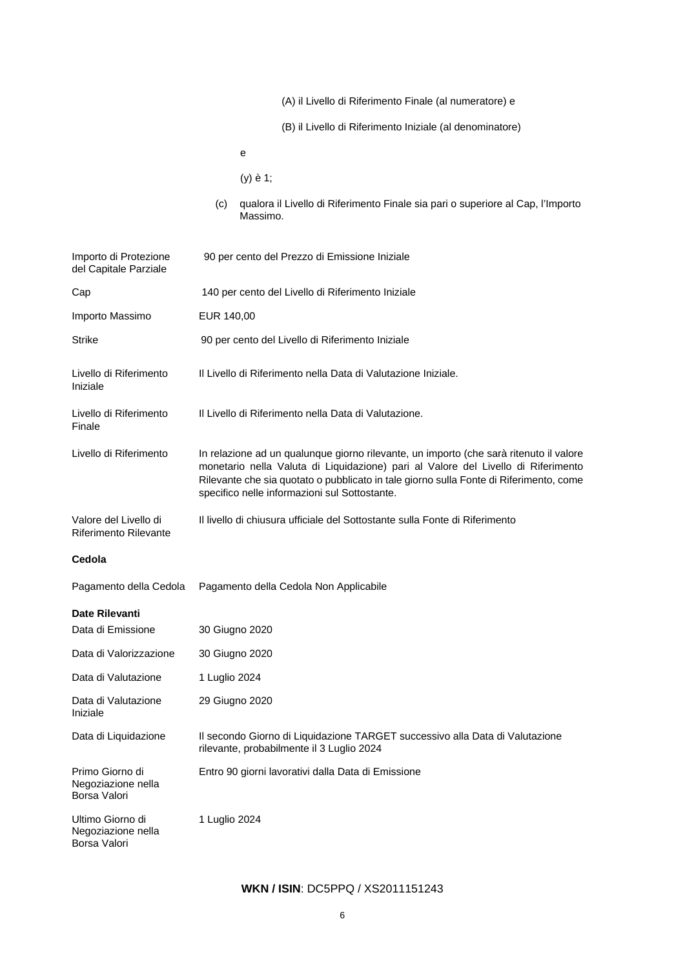| (A) il Livello di Riferimento Finale (al numeratore) e |  |
|--------------------------------------------------------|--|
|--------------------------------------------------------|--|

(B) il Livello di Riferimento Iniziale (al denominatore)

(y) è 1;

(c) qualora il Livello di Riferimento Finale sia pari o superiore al Cap, l'Importo Massimo.

| Importo di Protezione<br>del Capitale Parziale        | 90 per cento del Prezzo di Emissione Iniziale                                                                                                                                                                                                                                                                          |
|-------------------------------------------------------|------------------------------------------------------------------------------------------------------------------------------------------------------------------------------------------------------------------------------------------------------------------------------------------------------------------------|
| Cap                                                   | 140 per cento del Livello di Riferimento Iniziale                                                                                                                                                                                                                                                                      |
| Importo Massimo                                       | EUR 140,00                                                                                                                                                                                                                                                                                                             |
| <b>Strike</b>                                         | 90 per cento del Livello di Riferimento Iniziale                                                                                                                                                                                                                                                                       |
| Livello di Riferimento<br>Iniziale                    | Il Livello di Riferimento nella Data di Valutazione Iniziale.                                                                                                                                                                                                                                                          |
| Livello di Riferimento<br>Finale                      | Il Livello di Riferimento nella Data di Valutazione.                                                                                                                                                                                                                                                                   |
| Livello di Riferimento                                | In relazione ad un qualunque giorno rilevante, un importo (che sarà ritenuto il valore<br>monetario nella Valuta di Liquidazione) pari al Valore del Livello di Riferimento<br>Rilevante che sia quotato o pubblicato in tale giorno sulla Fonte di Riferimento, come<br>specifico nelle informazioni sul Sottostante. |
| Valore del Livello di<br><b>Riferimento Rilevante</b> | Il livello di chiusura ufficiale del Sottostante sulla Fonte di Riferimento                                                                                                                                                                                                                                            |
| Cedola                                                |                                                                                                                                                                                                                                                                                                                        |
| Pagamento della Cedola                                | Pagamento della Cedola Non Applicabile                                                                                                                                                                                                                                                                                 |
| Date Rilevanti                                        |                                                                                                                                                                                                                                                                                                                        |
| Data di Emissione                                     | 30 Giugno 2020                                                                                                                                                                                                                                                                                                         |
| Data di Valorizzazione                                | 30 Giugno 2020                                                                                                                                                                                                                                                                                                         |
| Data di Valutazione                                   | 1 Luglio 2024                                                                                                                                                                                                                                                                                                          |
| Data di Valutazione<br>Iniziale                       | 29 Giugno 2020                                                                                                                                                                                                                                                                                                         |
| Data di Liquidazione                                  | Il secondo Giorno di Liquidazione TARGET successivo alla Data di Valutazione<br>rilevante, probabilmente il 3 Luglio 2024                                                                                                                                                                                              |
| Primo Giorno di<br>Negoziazione nella<br>Borsa Valori | Entro 90 giorni lavorativi dalla Data di Emissione                                                                                                                                                                                                                                                                     |
| Ultimo Giorno di<br>Negoziazione nella                | 1 Luglio 2024                                                                                                                                                                                                                                                                                                          |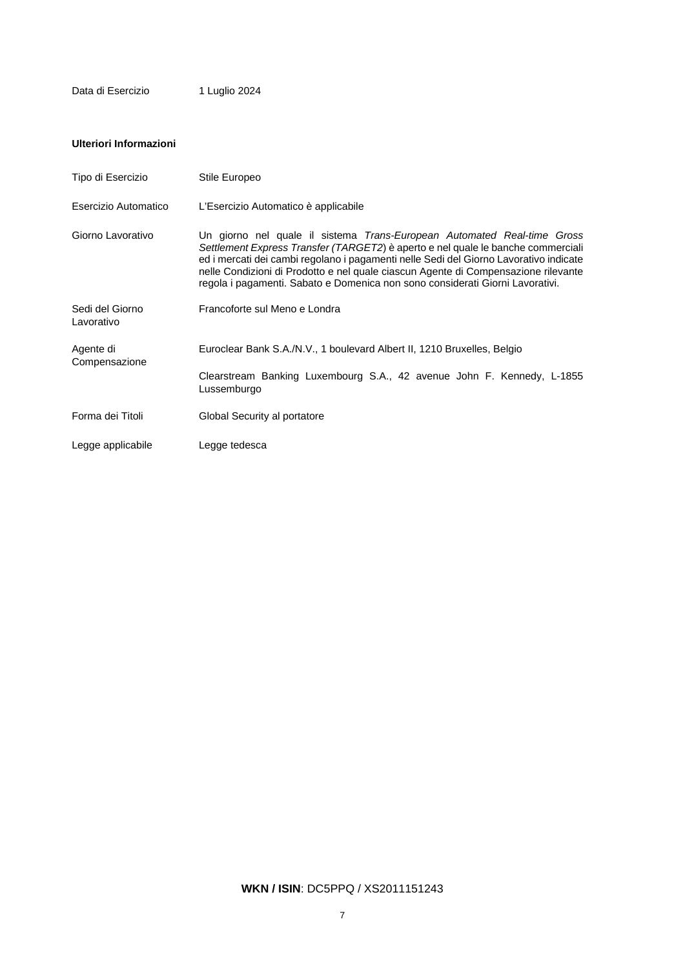# **Ulteriori Informazioni**

| Tipo di Esercizio             | Stile Europeo                                                                                                                                                                                                                                                                                                                                                                                                               |
|-------------------------------|-----------------------------------------------------------------------------------------------------------------------------------------------------------------------------------------------------------------------------------------------------------------------------------------------------------------------------------------------------------------------------------------------------------------------------|
| Esercizio Automatico          | L'Esercizio Automatico è applicabile                                                                                                                                                                                                                                                                                                                                                                                        |
| Giorno Lavorativo             | Un giorno nel quale il sistema Trans-European Automated Real-time Gross<br>Settlement Express Transfer (TARGET2) è aperto e nel quale le banche commerciali<br>ed i mercati dei cambi regolano i pagamenti nelle Sedi del Giorno Lavorativo indicate<br>nelle Condizioni di Prodotto e nel quale ciascun Agente di Compensazione rilevante<br>regola i pagamenti. Sabato e Domenica non sono considerati Giorni Lavorativi. |
| Sedi del Giorno<br>Lavorativo | Francoforte sul Meno e Londra                                                                                                                                                                                                                                                                                                                                                                                               |
| Agente di<br>Compensazione    | Euroclear Bank S.A./N.V., 1 boulevard Albert II, 1210 Bruxelles, Belgio                                                                                                                                                                                                                                                                                                                                                     |
|                               | Clearstream Banking Luxembourg S.A., 42 avenue John F. Kennedy, L-1855<br>Lussemburgo                                                                                                                                                                                                                                                                                                                                       |
| Forma dei Titoli              | Global Security al portatore                                                                                                                                                                                                                                                                                                                                                                                                |
| Legge applicabile             | Legge tedesca                                                                                                                                                                                                                                                                                                                                                                                                               |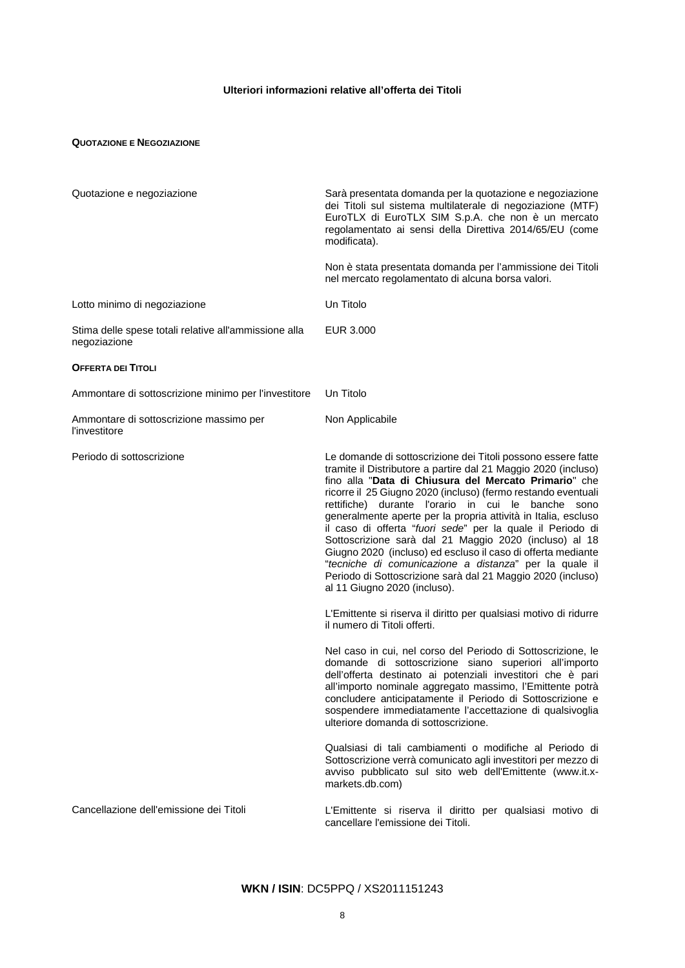# **Ulteriori informazioni relative all'offerta dei Titoli**

### **QUOTAZIONE E NEGOZIAZIONE**

| Quotazione e negoziazione                                             | Sarà presentata domanda per la quotazione e negoziazione<br>dei Titoli sul sistema multilaterale di negoziazione (MTF)<br>EuroTLX di EuroTLX SIM S.p.A. che non è un mercato<br>regolamentato ai sensi della Direttiva 2014/65/EU (come<br>modificata).                                                                                                                                                                                                                                                                                                                                                                                                                                                                           |
|-----------------------------------------------------------------------|-----------------------------------------------------------------------------------------------------------------------------------------------------------------------------------------------------------------------------------------------------------------------------------------------------------------------------------------------------------------------------------------------------------------------------------------------------------------------------------------------------------------------------------------------------------------------------------------------------------------------------------------------------------------------------------------------------------------------------------|
|                                                                       | Non è stata presentata domanda per l'ammissione dei Titoli<br>nel mercato regolamentato di alcuna borsa valori.                                                                                                                                                                                                                                                                                                                                                                                                                                                                                                                                                                                                                   |
| Lotto minimo di negoziazione                                          | Un Titolo                                                                                                                                                                                                                                                                                                                                                                                                                                                                                                                                                                                                                                                                                                                         |
| Stima delle spese totali relative all'ammissione alla<br>negoziazione | EUR 3.000                                                                                                                                                                                                                                                                                                                                                                                                                                                                                                                                                                                                                                                                                                                         |
| <b>OFFERTA DEI TITOLI</b>                                             |                                                                                                                                                                                                                                                                                                                                                                                                                                                                                                                                                                                                                                                                                                                                   |
| Ammontare di sottoscrizione minimo per l'investitore                  | Un Titolo                                                                                                                                                                                                                                                                                                                                                                                                                                                                                                                                                                                                                                                                                                                         |
| Ammontare di sottoscrizione massimo per<br>l'investitore              | Non Applicabile                                                                                                                                                                                                                                                                                                                                                                                                                                                                                                                                                                                                                                                                                                                   |
| Periodo di sottoscrizione                                             | Le domande di sottoscrizione dei Titoli possono essere fatte<br>tramite il Distributore a partire dal 21 Maggio 2020 (incluso)<br>fino alla "Data di Chiusura del Mercato Primario" che<br>ricorre il 25 Giugno 2020 (incluso) (fermo restando eventuali<br>rettifiche) durante l'orario in cui le banche sono<br>generalmente aperte per la propria attività in Italia, escluso<br>il caso di offerta "fuori sede" per la quale il Periodo di<br>Sottoscrizione sarà dal 21 Maggio 2020 (incluso) al 18<br>Giugno 2020 (incluso) ed escluso il caso di offerta mediante<br>"tecniche di comunicazione a distanza" per la quale il<br>Periodo di Sottoscrizione sarà dal 21 Maggio 2020 (incluso)<br>al 11 Giugno 2020 (incluso). |
|                                                                       | L'Emittente si riserva il diritto per qualsiasi motivo di ridurre<br>il numero di Titoli offerti.                                                                                                                                                                                                                                                                                                                                                                                                                                                                                                                                                                                                                                 |
|                                                                       | Nel caso in cui, nel corso del Periodo di Sottoscrizione, le<br>domande di sottoscrizione siano superiori all'importo<br>dell'offerta destinato ai potenziali investitori che è pari<br>all'importo nominale aggregato massimo, l'Emittente potrà<br>concludere anticipatamente il Periodo di Sottoscrizione e<br>sospendere immediatamente l'accettazione di qualsivoglia<br>ulteriore domanda di sottoscrizione.                                                                                                                                                                                                                                                                                                                |
|                                                                       | Qualsiasi di tali cambiamenti o modifiche al Periodo di<br>Sottoscrizione verrà comunicato agli investitori per mezzo di<br>avviso pubblicato sul sito web dell'Emittente (www.it.x-<br>markets.db.com)                                                                                                                                                                                                                                                                                                                                                                                                                                                                                                                           |
| Cancellazione dell'emissione dei Titoli                               | L'Emittente si riserva il diritto per qualsiasi motivo di<br>cancellare l'emissione dei Titoli.                                                                                                                                                                                                                                                                                                                                                                                                                                                                                                                                                                                                                                   |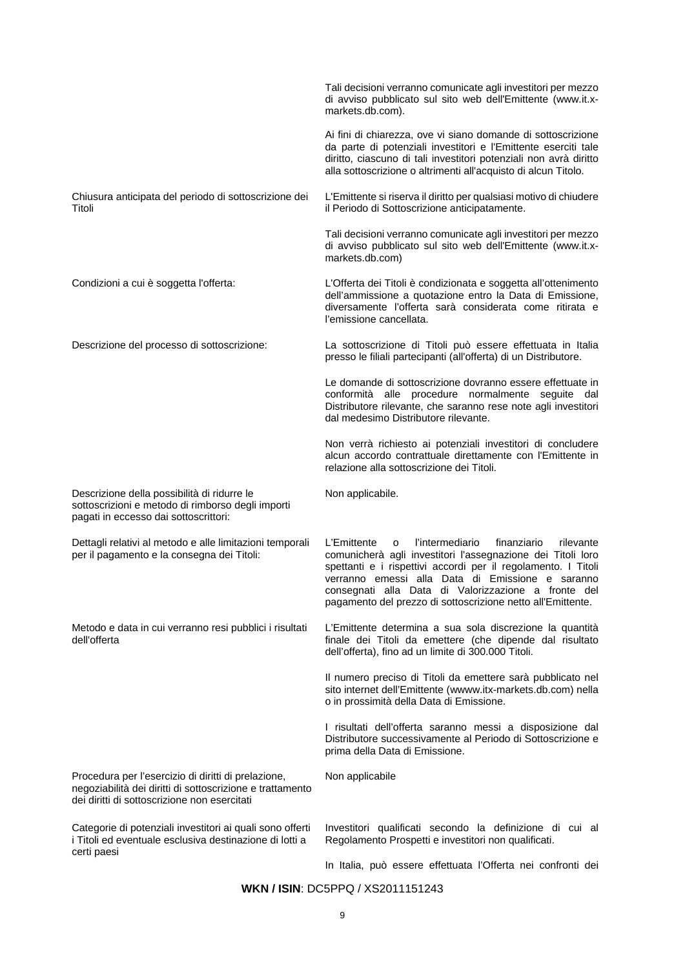|                                                                                                                                                                  | Tali decisioni verranno comunicate agli investitori per mezzo<br>di avviso pubblicato sul sito web dell'Emittente (www.it.x-<br>markets.db.com).                                                                                                                                                                                                                          |
|------------------------------------------------------------------------------------------------------------------------------------------------------------------|---------------------------------------------------------------------------------------------------------------------------------------------------------------------------------------------------------------------------------------------------------------------------------------------------------------------------------------------------------------------------|
|                                                                                                                                                                  | Ai fini di chiarezza, ove vi siano domande di sottoscrizione<br>da parte di potenziali investitori e l'Emittente eserciti tale<br>diritto, ciascuno di tali investitori potenziali non avrà diritto<br>alla sottoscrizione o altrimenti all'acquisto di alcun Titolo.                                                                                                     |
| Chiusura anticipata del periodo di sottoscrizione dei<br>Titoli                                                                                                  | L'Emittente si riserva il diritto per qualsiasi motivo di chiudere<br>il Periodo di Sottoscrizione anticipatamente.                                                                                                                                                                                                                                                       |
|                                                                                                                                                                  | Tali decisioni verranno comunicate agli investitori per mezzo<br>di avviso pubblicato sul sito web dell'Emittente (www.it.x-<br>markets.db.com)                                                                                                                                                                                                                           |
| Condizioni a cui è soggetta l'offerta:                                                                                                                           | L'Offerta dei Titoli è condizionata e soggetta all'ottenimento<br>dell'ammissione a quotazione entro la Data di Emissione,<br>diversamente l'offerta sarà considerata come ritirata e<br>l'emissione cancellata.                                                                                                                                                          |
| Descrizione del processo di sottoscrizione:                                                                                                                      | La sottoscrizione di Titoli può essere effettuata in Italia<br>presso le filiali partecipanti (all'offerta) di un Distributore.                                                                                                                                                                                                                                           |
|                                                                                                                                                                  | Le domande di sottoscrizione dovranno essere effettuate in<br>conformità alle procedure normalmente seguite dal<br>Distributore rilevante, che saranno rese note agli investitori<br>dal medesimo Distributore rilevante.                                                                                                                                                 |
|                                                                                                                                                                  | Non verrà richiesto ai potenziali investitori di concludere<br>alcun accordo contrattuale direttamente con l'Emittente in<br>relazione alla sottoscrizione dei Titoli.                                                                                                                                                                                                    |
| Descrizione della possibilità di ridurre le<br>sottoscrizioni e metodo di rimborso degli importi<br>pagati in eccesso dai sottoscrittori:                        | Non applicabile.                                                                                                                                                                                                                                                                                                                                                          |
| Dettagli relativi al metodo e alle limitazioni temporali<br>per il pagamento e la consegna dei Titoli:                                                           | L'Emittente<br>l'intermediario<br>finanziario<br>o<br>rilevante<br>comunicherà agli investitori l'assegnazione dei Titoli loro<br>spettanti e i rispettivi accordi per il regolamento. I Titoli<br>verranno emessi alla Data di Emissione e saranno<br>consegnati alla Data di Valorizzazione a fronte del<br>pagamento del prezzo di sottoscrizione netto all'Emittente. |
| Metodo e data in cui verranno resi pubblici i risultati<br>dell'offerta                                                                                          | L'Emittente determina a sua sola discrezione la quantità<br>finale dei Titoli da emettere (che dipende dal risultato<br>dell'offerta), fino ad un limite di 300.000 Titoli.                                                                                                                                                                                               |
|                                                                                                                                                                  | Il numero preciso di Titoli da emettere sarà pubblicato nel<br>sito internet dell'Emittente (wwww.itx-markets.db.com) nella<br>o in prossimità della Data di Emissione.                                                                                                                                                                                                   |
|                                                                                                                                                                  | I risultati dell'offerta saranno messi a disposizione dal<br>Distributore successivamente al Periodo di Sottoscrizione e<br>prima della Data di Emissione.                                                                                                                                                                                                                |
| Procedura per l'esercizio di diritti di prelazione,<br>negoziabilità dei diritti di sottoscrizione e trattamento<br>dei diritti di sottoscrizione non esercitati | Non applicabile                                                                                                                                                                                                                                                                                                                                                           |
| Categorie di potenziali investitori ai quali sono offerti<br>i Titoli ed eventuale esclusiva destinazione di lotti a<br>certi paesi                              | Investitori qualificati secondo la definizione di cui al<br>Regolamento Prospetti e investitori non qualificati.                                                                                                                                                                                                                                                          |
|                                                                                                                                                                  |                                                                                                                                                                                                                                                                                                                                                                           |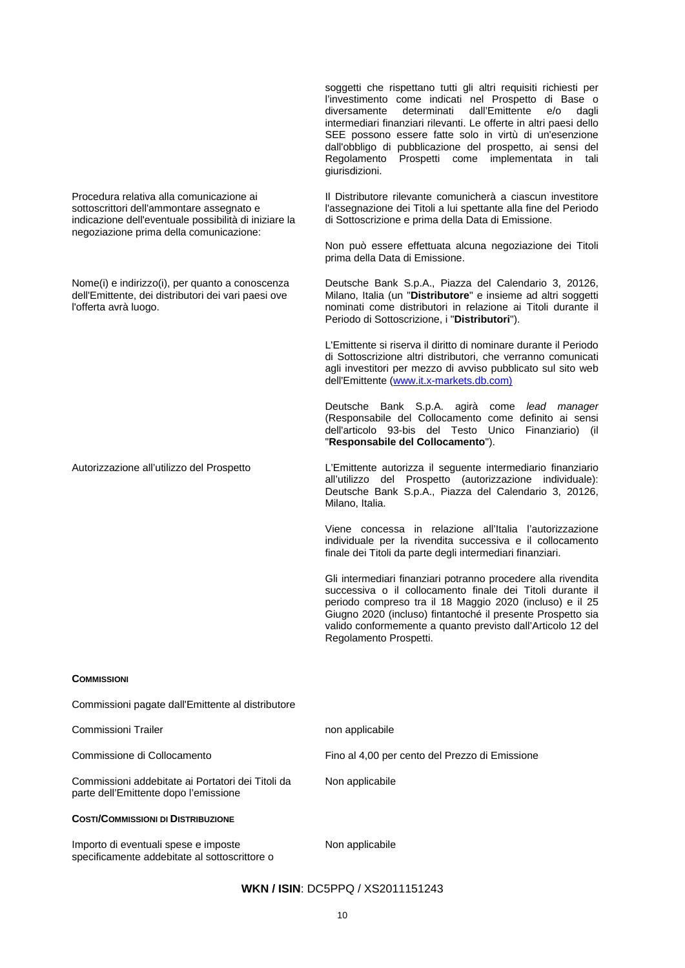soggetti che rispettano tutti gli altri requisiti richiesti per l'investimento come indicati nel Prospetto di Base o determinati dall'Emittente intermediari finanziari rilevanti. Le offerte in altri paesi dello SEE possono essere fatte solo in virtù di un'esenzione dall'obbligo di pubblicazione del prospetto, ai sensi del Regolamento Prospetti come implementata in tali giurisdizioni.

Il Distributore rilevante comunicherà a ciascun investitore l'assegnazione dei Titoli a lui spettante alla fine del Periodo di Sottoscrizione e prima della Data di Emissione.

Non può essere effettuata alcuna negoziazione dei Titoli prima della Data di Emissione.

Deutsche Bank S.p.A., Piazza del Calendario 3, 20126, Milano, Italia (un "**Distributore**" e insieme ad altri soggetti nominati come distributori in relazione ai Titoli durante il Periodo di Sottoscrizione, i "**Distributori**").

L'Emittente si riserva il diritto di nominare durante il Periodo di Sottoscrizione altri distributori, che verranno comunicati agli investitori per mezzo di avviso pubblicato sul sito web dell'Emittente [\(www.it.x-markets.db.com\)](http://www.it.x-markets.db.com)/)

Deutsche Bank S.p.A. agirà come *lead manager*  (Responsabile del Collocamento come definito ai sensi dell'articolo 93-bis del Testo Unico Finanziario) (il "**Responsabile del Collocamento**").

Autorizzazione all'utilizzo del Prospetto L'Emittente autorizza il seguente intermediario finanziario all'utilizzo del Prospetto (autorizzazione individuale): Deutsche Bank S.p.A., Piazza del Calendario 3, 20126, Milano, Italia.

> Viene concessa in relazione all'Italia l'autorizzazione individuale per la rivendita successiva e il collocamento finale dei Titoli da parte degli intermediari finanziari.

> Gli intermediari finanziari potranno procedere alla rivendita successiva o il collocamento finale dei Titoli durante il periodo compreso tra il 18 Maggio 2020 (incluso) e il 25 Giugno 2020 (incluso) fintantoché il presente Prospetto sia valido conformemente a quanto previsto dall'Articolo 12 del Regolamento Prospetti.

### **COMMISSIONI**

Commissioni pagate dall'Emittente al distributore Commissioni Trailer non applicabile non applicabile Commissione di Collocamento Fino al 4,00 per cento del Prezzo di Emissione Commissioni addebitate ai Portatori dei Titoli da parte dell'Emittente dopo l'emissione Non applicabile **COSTI/COMMISSIONI DI DISTRIBUZIONE** Importo di eventuali spese e imposte

specificamente addebitate al sottoscrittore o

Procedura relativa alla comunicazione ai sottoscrittori dell'ammontare assegnato e indicazione dell'eventuale possibilità di iniziare la negoziazione prima della comunicazione:

Nome(i) e indirizzo(i), per quanto a conoscenza dell'Emittente, dei distributori dei vari paesi ove

l'offerta avrà luogo.

Non applicabile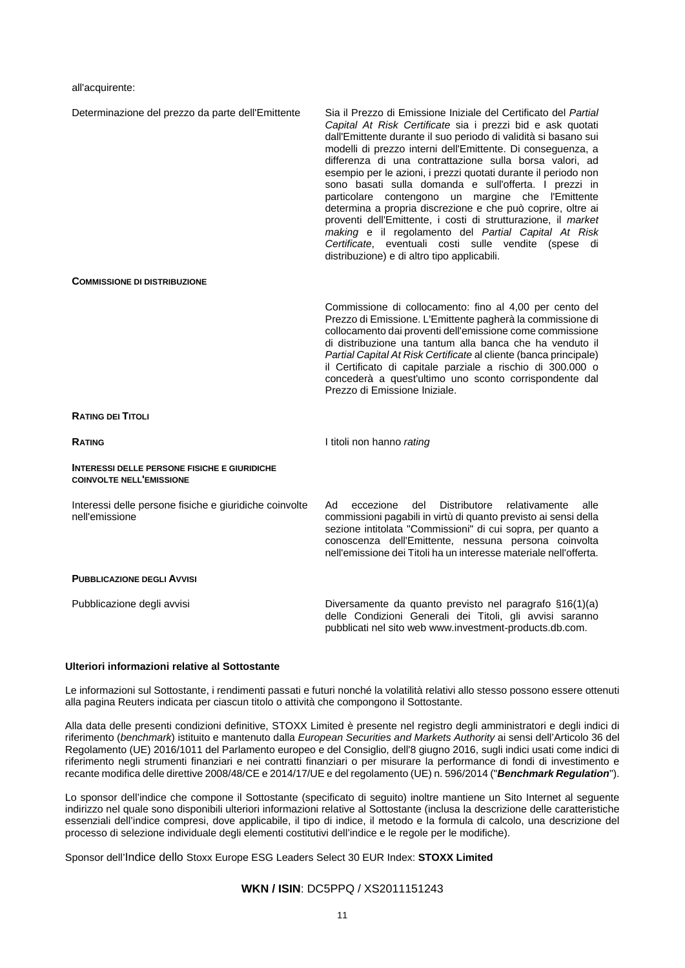all'acquirente:

| Determinazione del prezzo da parte dell'Emittente                                      | Sia il Prezzo di Emissione Iniziale del Certificato del Partial<br>Capital At Risk Certificate sia i prezzi bid e ask quotati<br>dall'Emittente durante il suo periodo di validità si basano sui<br>modelli di prezzo interni dell'Emittente. Di conseguenza, a<br>differenza di una contrattazione sulla borsa valori, ad<br>esempio per le azioni, i prezzi quotati durante il periodo non<br>sono basati sulla domanda e sull'offerta. I prezzi in<br>particolare contengono un margine che l'Emittente<br>determina a propria discrezione e che può coprire, oltre ai<br>proventi dell'Emittente, i costi di strutturazione, il market<br>making e il regolamento del Partial Capital At Risk<br>Certificate, eventuali costi sulle vendite (spese di<br>distribuzione) e di altro tipo applicabili. |
|----------------------------------------------------------------------------------------|----------------------------------------------------------------------------------------------------------------------------------------------------------------------------------------------------------------------------------------------------------------------------------------------------------------------------------------------------------------------------------------------------------------------------------------------------------------------------------------------------------------------------------------------------------------------------------------------------------------------------------------------------------------------------------------------------------------------------------------------------------------------------------------------------------|
| <b>COMMISSIONE DI DISTRIBUZIONE</b>                                                    |                                                                                                                                                                                                                                                                                                                                                                                                                                                                                                                                                                                                                                                                                                                                                                                                          |
|                                                                                        | Commissione di collocamento: fino al 4,00 per cento del<br>Prezzo di Emissione. L'Emittente pagherà la commissione di<br>collocamento dai proventi dell'emissione come commissione<br>di distribuzione una tantum alla banca che ha venduto il<br>Partial Capital At Risk Certificate al cliente (banca principale)<br>il Certificato di capitale parziale a rischio di 300.000 o<br>concederà a quest'ultimo uno sconto corrispondente dal<br>Prezzo di Emissione Iniziale.                                                                                                                                                                                                                                                                                                                             |
| <b>RATING DEI TITOLI</b>                                                               |                                                                                                                                                                                                                                                                                                                                                                                                                                                                                                                                                                                                                                                                                                                                                                                                          |
| <b>RATING</b>                                                                          | I titoli non hanno rating                                                                                                                                                                                                                                                                                                                                                                                                                                                                                                                                                                                                                                                                                                                                                                                |
| <b>INTERESSI DELLE PERSONE FISICHE E GIURIDICHE</b><br><b>COINVOLTE NELL'EMISSIONE</b> |                                                                                                                                                                                                                                                                                                                                                                                                                                                                                                                                                                                                                                                                                                                                                                                                          |
| Interessi delle persone fisiche e giuridiche coinvolte<br>nell'emissione               | Distributore<br>relativamente<br>Ad<br>eccezione<br>del<br>alle<br>commissioni pagabili in virtù di quanto previsto ai sensi della<br>sezione intitolata "Commissioni" di cui sopra, per quanto a<br>conoscenza dell'Emittente, nessuna persona coinvolta<br>nell'emissione dei Titoli ha un interesse materiale nell'offerta.                                                                                                                                                                                                                                                                                                                                                                                                                                                                           |
| <b>PUBBLICAZIONE DEGLI AVVISI</b>                                                      |                                                                                                                                                                                                                                                                                                                                                                                                                                                                                                                                                                                                                                                                                                                                                                                                          |
| Pubblicazione degli avvisi                                                             | Diversamente da quanto previsto nel paragrafo §16(1)(a)<br>delle Condizioni Generali dei Titoli, gli avvisi saranno<br>pubblicati nel sito web www.investment-products.db.com.                                                                                                                                                                                                                                                                                                                                                                                                                                                                                                                                                                                                                           |

# **Ulteriori informazioni relative al Sottostante**

Le informazioni sul Sottostante, i rendimenti passati e futuri nonché la volatilità relativi allo stesso possono essere ottenuti alla pagina Reuters indicata per ciascun titolo o attività che compongono il Sottostante.

Alla data delle presenti condizioni definitive, STOXX Limited è presente nel registro degli amministratori e degli indici di riferimento (*benchmark*) istituito e mantenuto dalla *European Securities and Markets Authority* ai sensi dell'Articolo 36 del Regolamento (UE) 2016/1011 del Parlamento europeo e del Consiglio, dell'8 giugno 2016, sugli indici usati come indici di riferimento negli strumenti finanziari e nei contratti finanziari o per misurare la performance di fondi di investimento e recante modifica delle direttive 2008/48/CE e 2014/17/UE e del regolamento (UE) n. 596/2014 ("*Benchmark Regulation*").

Lo sponsor dell'indice che compone il Sottostante (specificato di seguito) inoltre mantiene un Sito Internet al seguente indirizzo nel quale sono disponibili ulteriori informazioni relative al Sottostante (inclusa la descrizione delle caratteristiche essenziali dell'indice compresi, dove applicabile, il tipo di indice, il metodo e la formula di calcolo, una descrizione del processo di selezione individuale degli elementi costitutivi dell'indice e le regole per le modifiche).

Sponsor dell'Indice dello Stoxx Europe ESG Leaders Select 30 EUR Index: **STOXX Limited**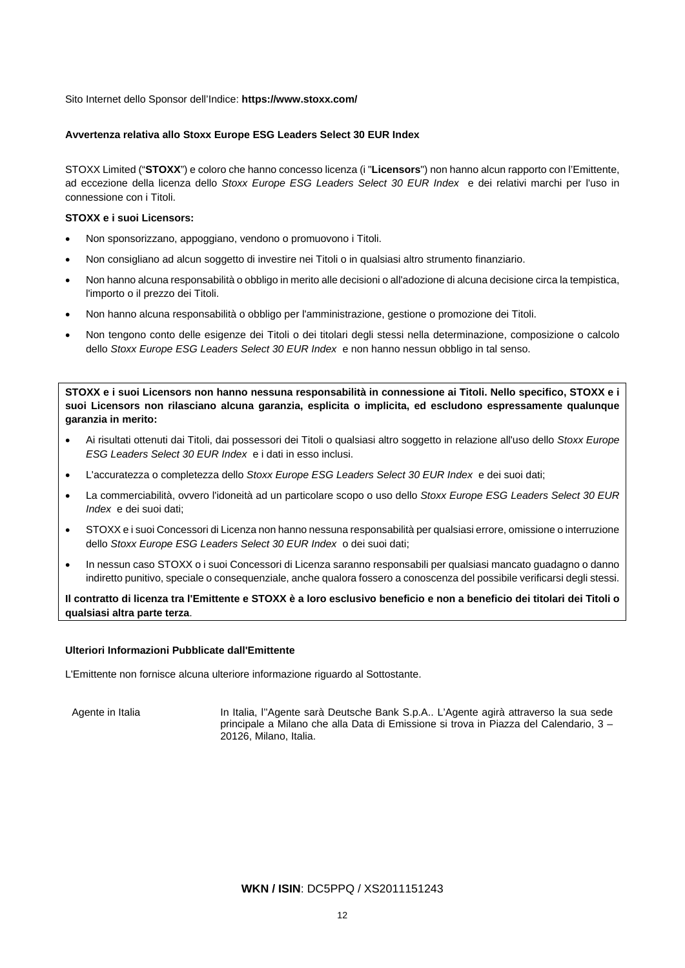Sito Internet dello Sponsor dell'Indice: **https://www.stoxx.com/**

## **Avvertenza relativa allo Stoxx Europe ESG Leaders Select 30 EUR Index**

STOXX Limited ("**STOXX**") e coloro che hanno concesso licenza (i "**Licensors**") non hanno alcun rapporto con l'Emittente, ad eccezione della licenza dello *Stoxx Europe ESG Leaders Select 30 EUR Index* e dei relativi marchi per l'uso in connessione con i Titoli.

## **STOXX e i suoi Licensors:**

- Non sponsorizzano, appoggiano, vendono o promuovono i Titoli.
- Non consigliano ad alcun soggetto di investire nei Titoli o in qualsiasi altro strumento finanziario.
- Non hanno alcuna responsabilità o obbligo in merito alle decisioni o all'adozione di alcuna decisione circa la tempistica, l'importo o il prezzo dei Titoli.
- Non hanno alcuna responsabilità o obbligo per l'amministrazione, gestione o promozione dei Titoli.
- Non tengono conto delle esigenze dei Titoli o dei titolari degli stessi nella determinazione, composizione o calcolo dello *Stoxx Europe ESG Leaders Select 30 EUR Index* e non hanno nessun obbligo in tal senso.

**STOXX e i suoi Licensors non hanno nessuna responsabilità in connessione ai Titoli. Nello specifico, STOXX e i suoi Licensors non rilasciano alcuna garanzia, esplicita o implicita, ed escludono espressamente qualunque garanzia in merito:**

- Ai risultati ottenuti dai Titoli, dai possessori dei Titoli o qualsiasi altro soggetto in relazione all'uso dello *Stoxx Europe ESG Leaders Select 30 EUR Index* e i dati in esso inclusi.
- L'accuratezza o completezza dello *Stoxx Europe ESG Leaders Select 30 EUR Index* e dei suoi dati;
- La commerciabilità, ovvero l'idoneità ad un particolare scopo o uso dello *Stoxx Europe ESG Leaders Select 30 EUR Index* e dei suoi dati;
- STOXX e i suoi Concessori di Licenza non hanno nessuna responsabilità per qualsiasi errore, omissione o interruzione dello *Stoxx Europe ESG Leaders Select 30 EUR Index* o dei suoi dati;
- In nessun caso STOXX o i suoi Concessori di Licenza saranno responsabili per qualsiasi mancato guadagno o danno indiretto punitivo, speciale o consequenziale, anche qualora fossero a conoscenza del possibile verificarsi degli stessi.

**Il contratto di licenza tra l'Emittente e STOXX è a loro esclusivo beneficio e non a beneficio dei titolari dei Titoli o qualsiasi altra parte terza**.

### **Ulteriori Informazioni Pubblicate dall'Emittente**

L'Emittente non fornisce alcuna ulteriore informazione riguardo al Sottostante.

Agente in Italia In Italia, l''Agente sarà Deutsche Bank S.p.A.. L'Agente agirà attraverso la sua sede principale a Milano che alla Data di Emissione si trova in Piazza del Calendario, 3 – 20126, Milano, Italia.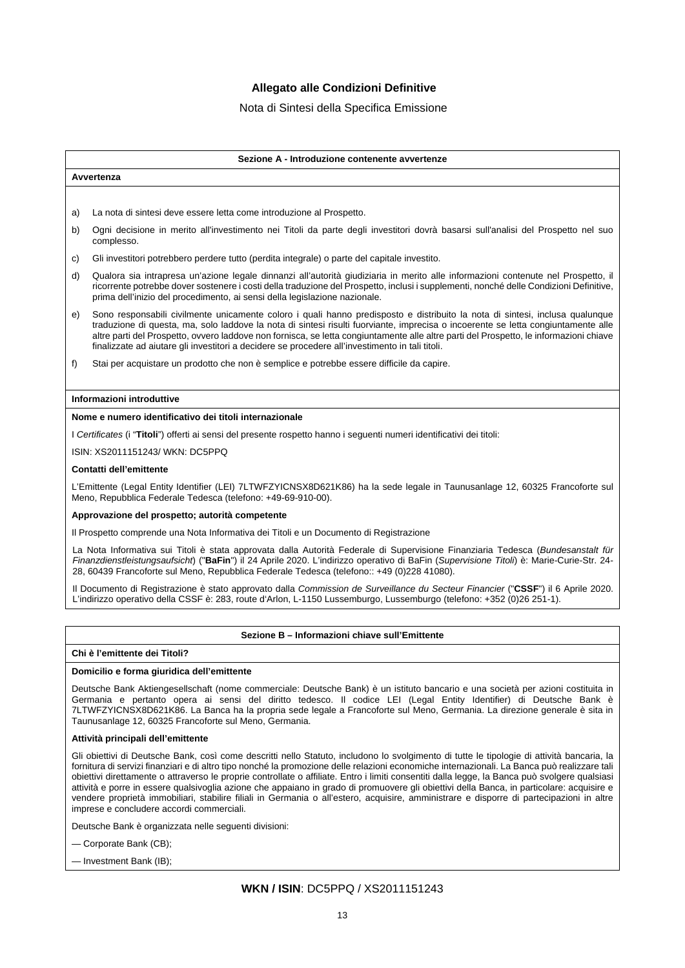# **Allegato alle Condizioni Definitive**

## Nota di Sintesi della Specifica Emissione

#### **Sezione A - Introduzione contenente avvertenze**

a) La nota di sintesi deve essere letta come introduzione al Prospetto.

- b) Ogni decisione in merito all'investimento nei Titoli da parte degli investitori dovrà basarsi sull'analisi del Prospetto nel suo complesso.
- c) Gli investitori potrebbero perdere tutto (perdita integrale) o parte del capitale investito.
- d) Qualora sia intrapresa un'azione legale dinnanzi all'autorità giudiziaria in merito alle informazioni contenute nel Prospetto, il ricorrente potrebbe dover sostenere i costi della traduzione del Prospetto, inclusi i supplementi, nonché delle Condizioni Definitive, prima dell'inizio del procedimento, ai sensi della legislazione nazionale.
- e) Sono responsabili civilmente unicamente coloro i quali hanno predisposto e distribuito la nota di sintesi, inclusa qualunque traduzione di questa, ma, solo laddove la nota di sintesi risulti fuorviante, imprecisa o incoerente se letta congiuntamente alle altre parti del Prospetto, ovvero laddove non fornisca, se letta congiuntamente alle altre parti del Prospetto, le informazioni chiave finalizzate ad aiutare gli investitori a decidere se procedere all'investimento in tali titoli.
- f) Stai per acquistare un prodotto che non è semplice e potrebbe essere difficile da capire.

#### **Informazioni introduttive**

**Avvertenza**

#### **Nome e numero identificativo dei titoli internazionale**

I *Certificates* (i "**Titoli**") offerti ai sensi del presente rospetto hanno i seguenti numeri identificativi dei titoli:

ISIN: XS2011151243/ WKN: DC5PPQ

#### **Contatti dell'emittente**

L'Emittente (Legal Entity Identifier (LEI) 7LTWFZYICNSX8D621K86) ha la sede legale in Taunusanlage 12, 60325 Francoforte sul Meno, Repubblica Federale Tedesca (telefono: +49-69-910-00).

#### **Approvazione del prospetto; autorità competente**

Il Prospetto comprende una Nota Informativa dei Titoli e un Documento di Registrazione

La Nota Informativa sui Titoli è stata approvata dalla Autorità Federale di Supervisione Finanziaria Tedesca (*Bundesanstalt für Finanzdienstleistungsaufsicht*) ("**BaFin**") il 24 Aprile 2020. L'indirizzo operativo di BaFin (*Supervisione Titoli*) è: Marie-Curie-Str. 24- 28, 60439 Francoforte sul Meno, Repubblica Federale Tedesca (telefono:: +49 (0)228 41080).

Il Documento di Registrazione è stato approvato dalla *Commission de Surveillance du Secteur Financier* ("**CSSF**") il 6 Aprile 2020. L'indirizzo operativo della CSSF è: 283, route d'Arlon, L-1150 Lussemburgo, Lussemburgo (telefono: +352 (0)26 251-1).

### **Sezione B – Informazioni chiave sull'Emittente**

### **Chi è l'emittente dei Titoli?**

### **Domicilio e forma giuridica dell'emittente**

Deutsche Bank Aktiengesellschaft (nome commerciale: Deutsche Bank) è un istituto bancario e una società per azioni costituita in Germania e pertanto opera ai sensi del diritto tedesco. Il codice LEI (Legal Entity Identifier) di Deutsche Bank è 7LTWFZYICNSX8D621K86. La Banca ha la propria sede legale a Francoforte sul Meno, Germania. La direzione generale è sita in Taunusanlage 12, 60325 Francoforte sul Meno, Germania.

#### **Attività principali dell'emittente**

Gli obiettivi di Deutsche Bank, così come descritti nello Statuto, includono lo svolgimento di tutte le tipologie di attività bancaria, la fornitura di servizi finanziari e di altro tipo nonché la promozione delle relazioni economiche internazionali. La Banca può realizzare tali obiettivi direttamente o attraverso le proprie controllate o affiliate. Entro i limiti consentiti dalla legge, la Banca può svolgere qualsiasi attività e porre in essere qualsivoglia azione che appaiano in grado di promuovere gli obiettivi della Banca, in particolare: acquisire e vendere proprietà immobiliari, stabilire filiali in Germania o all'estero, acquisire, amministrare e disporre di partecipazioni in altre imprese e concludere accordi commerciali.

Deutsche Bank è organizzata nelle seguenti divisioni:

— Corporate Bank (CB);

— Investment Bank (IB);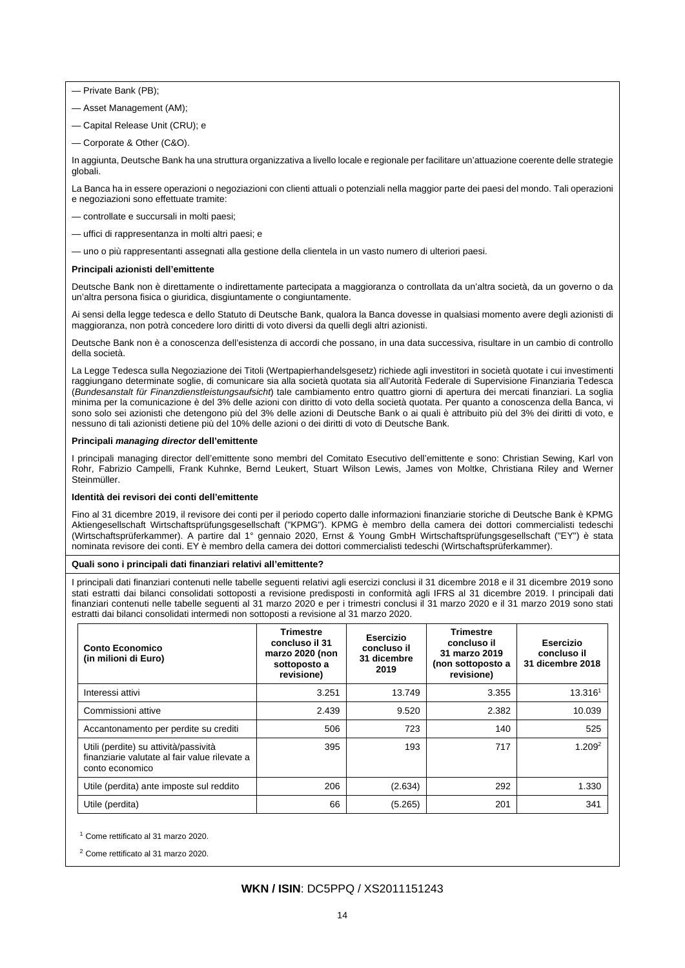— Private Bank (PB);

- Asset Management (AM);
- Capital Release Unit (CRU); e
- Corporate & Other (C&O).

In aggiunta, Deutsche Bank ha una struttura organizzativa a livello locale e regionale per facilitare un'attuazione coerente delle strategie globali.

La Banca ha in essere operazioni o negoziazioni con clienti attuali o potenziali nella maggior parte dei paesi del mondo. Tali operazioni e negoziazioni sono effettuate tramite:

- controllate e succursali in molti paesi;
- uffici di rappresentanza in molti altri paesi; e

— uno o più rappresentanti assegnati alla gestione della clientela in un vasto numero di ulteriori paesi.

### **Principali azionisti dell'emittente**

Deutsche Bank non è direttamente o indirettamente partecipata a maggioranza o controllata da un'altra società, da un governo o da un'altra persona fisica o giuridica, disgiuntamente o congiuntamente.

Ai sensi della legge tedesca e dello Statuto di Deutsche Bank, qualora la Banca dovesse in qualsiasi momento avere degli azionisti di maggioranza, non potrà concedere loro diritti di voto diversi da quelli degli altri azionisti.

Deutsche Bank non è a conoscenza dell'esistenza di accordi che possano, in una data successiva, risultare in un cambio di controllo della società.

La Legge Tedesca sulla Negoziazione dei Titoli (Wertpapierhandelsgesetz) richiede agli investitori in società quotate i cui investimenti raggiungano determinate soglie, di comunicare sia alla società quotata sia all'Autorità Federale di Supervisione Finanziaria Tedesca (*Bundesanstalt für Finanzdienstleistungsaufsicht*) tale cambiamento entro quattro giorni di apertura dei mercati finanziari. La soglia minima per la comunicazione è del 3% delle azioni con diritto di voto della società quotata. Per quanto a conoscenza della Banca, vi sono solo sei azionisti che detengono più del 3% delle azioni di Deutsche Bank o ai quali è attribuito più del 3% dei diritti di voto, e nessuno di tali azionisti detiene più del 10% delle azioni o dei diritti di voto di Deutsche Bank.

#### **Principali** *managing director* **dell'emittente**

I principali managing director dell'emittente sono membri del Comitato Esecutivo dell'emittente e sono: Christian Sewing, Karl von Rohr, Fabrizio Campelli, Frank Kuhnke, Bernd Leukert, Stuart Wilson Lewis, James von Moltke, Christiana Riley and Werner Steinmüller.

### **Identità dei revisori dei conti dell'emittente**

Fino al 31 dicembre 2019, il revisore dei conti per il periodo coperto dalle informazioni finanziarie storiche di Deutsche Bank è KPMG Aktiengesellschaft Wirtschaftsprüfungsgesellschaft ("KPMG"). KPMG è membro della camera dei dottori commercialisti tedeschi (Wirtschaftsprüferkammer). A partire dal 1° gennaio 2020, Ernst & Young GmbH Wirtschaftsprüfungsgesellschaft ("EY") è stata nominata revisore dei conti. EY è membro della camera dei dottori commercialisti tedeschi (Wirtschaftsprüferkammer).

### **Quali sono i principali dati finanziari relativi all'emittente?**

I principali dati finanziari contenuti nelle tabelle seguenti relativi agli esercizi conclusi il 31 dicembre 2018 e il 31 dicembre 2019 sono stati estratti dai bilanci consolidati sottoposti a revisione predisposti in conformità agli IFRS al 31 dicembre 2019. I principali dati finanziari contenuti nelle tabelle seguenti al 31 marzo 2020 e per i trimestri conclusi il 31 marzo 2020 e il 31 marzo 2019 sono stati estratti dai bilanci consolidati intermedi non sottoposti a revisione al 31 marzo 2020.

| Conto Economico<br>(in milioni di Euro)                                                                   | <b>Trimestre</b><br>concluso il 31<br>marzo 2020 (non<br>sottoposto a<br>revisione) | Esercizio<br>concluso il<br>31 dicembre<br>2019 | <b>Trimestre</b><br>concluso il<br>31 marzo 2019<br>(non sottoposto a<br>revisione) | Esercizio<br>concluso il<br>31 dicembre 2018 |
|-----------------------------------------------------------------------------------------------------------|-------------------------------------------------------------------------------------|-------------------------------------------------|-------------------------------------------------------------------------------------|----------------------------------------------|
| Interessi attivi                                                                                          | 3.251                                                                               | 13.749                                          | 3.355                                                                               | 13.3161                                      |
| Commissioni attive                                                                                        | 2.439                                                                               | 9.520                                           | 2.382                                                                               | 10.039                                       |
| Accantonamento per perdite su crediti                                                                     | 506                                                                                 | 723                                             | 140                                                                                 | 525                                          |
| Utili (perdite) su attività/passività<br>finanziarie valutate al fair value rilevate a<br>conto economico | 395                                                                                 | 193                                             | 717                                                                                 | 1.209 <sup>2</sup>                           |
| Utile (perdita) ante imposte sul reddito                                                                  | 206                                                                                 | (2.634)                                         | 292                                                                                 | 1.330                                        |
| Utile (perdita)                                                                                           | 66                                                                                  | (5.265)                                         | 201                                                                                 | 341                                          |

<sup>1</sup> Come rettificato al 31 marzo 2020.

<sup>2</sup> Come rettificato al 31 marzo 2020.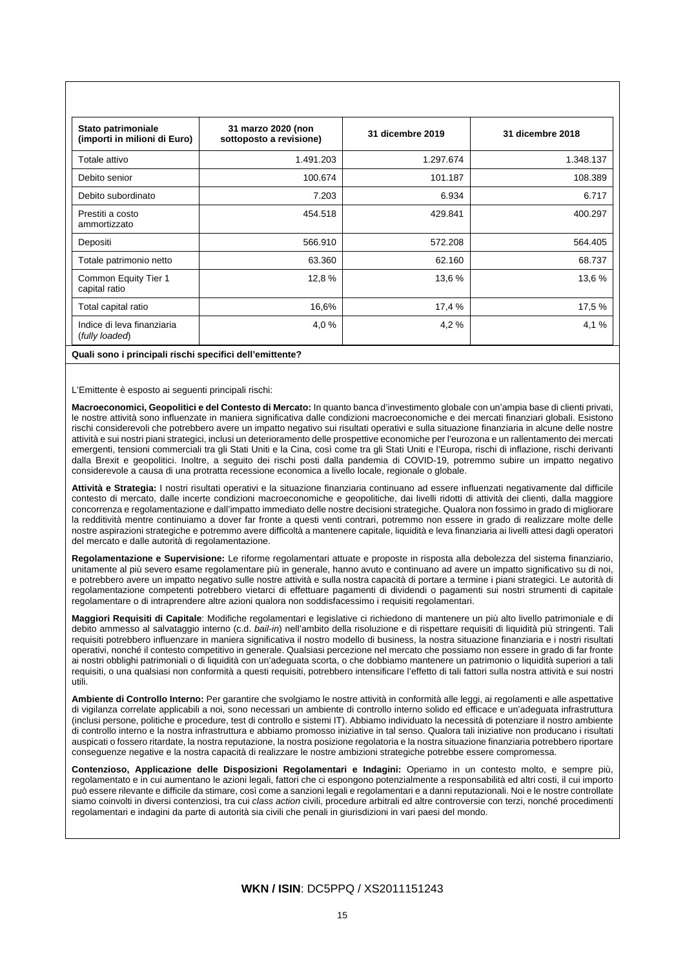| Stato patrimoniale<br>(importi in milioni di Euro) | 31 marzo 2020 (non<br>sottoposto a revisione) | 31 dicembre 2019 | 31 dicembre 2018 |
|----------------------------------------------------|-----------------------------------------------|------------------|------------------|
| Totale attivo                                      | 1.491.203                                     | 1.297.674        | 1.348.137        |
| Debito senior                                      | 100.674                                       | 101.187          | 108.389          |
| Debito subordinato                                 | 7.203                                         | 6.934            | 6.717            |
| Prestiti a costo<br>ammortizzato                   | 454.518                                       | 429.841          | 400.297          |
| Depositi                                           | 566.910                                       | 572.208          | 564.405          |
| Totale patrimonio netto                            | 63.360                                        | 62.160           | 68.737           |
| Common Equity Tier 1<br>capital ratio              | 12,8 %                                        | 13.6%            | 13,6 %           |
| Total capital ratio                                | 16,6%                                         | 17,4 %           | 17,5 %           |
| Indice di leva finanziaria<br>(fully loaded)       | 4,0 %                                         | 4,2%             | 4,1%             |

#### **Quali sono i principali rischi specifici dell'emittente?**

L'Emittente è esposto ai seguenti principali rischi:

**Macroeconomici, Geopolitici e del Contesto di Mercato:** In quanto banca d'investimento globale con un'ampia base di clienti privati, le nostre attività sono influenzate in maniera significativa dalle condizioni macroeconomiche e dei mercati finanziari globali. Esistono rischi considerevoli che potrebbero avere un impatto negativo sui risultati operativi e sulla situazione finanziaria in alcune delle nostre attività e sui nostri piani strategici, inclusi un deterioramento delle prospettive economiche per l'eurozona e un rallentamento dei mercati emergenti, tensioni commerciali tra gli Stati Uniti e la Cina, così come tra gli Stati Uniti e l'Europa, rischi di inflazione, rischi derivanti dalla Brexit e geopolitici. Inoltre, a seguito dei rischi posti dalla pandemia di COVID-19, potremmo subire un impatto negativo considerevole a causa di una protratta recessione economica a livello locale, regionale o globale.

**Attività e Strategia:** I nostri risultati operativi e la situazione finanziaria continuano ad essere influenzati negativamente dal difficile contesto di mercato, dalle incerte condizioni macroeconomiche e geopolitiche, dai livelli ridotti di attività dei clienti, dalla maggiore concorrenza e regolamentazione e dall'impatto immediato delle nostre decisioni strategiche. Qualora non fossimo in grado di migliorare la redditività mentre continuiamo a dover far fronte a questi venti contrari, potremmo non essere in grado di realizzare molte delle nostre aspirazioni strategiche e potremmo avere difficoltà a mantenere capitale, liquidità e leva finanziaria ai livelli attesi dagli operatori del mercato e dalle autorità di regolamentazione.

**Regolamentazione e Supervisione:** Le riforme regolamentari attuate e proposte in risposta alla debolezza del sistema finanziario, unitamente al più severo esame regolamentare più in generale, hanno avuto e continuano ad avere un impatto significativo su di noi, e potrebbero avere un impatto negativo sulle nostre attività e sulla nostra capacità di portare a termine i piani strategici. Le autorità di regolamentazione competenti potrebbero vietarci di effettuare pagamenti di dividendi o pagamenti sui nostri strumenti di capitale regolamentare o di intraprendere altre azioni qualora non soddisfacessimo i requisiti regolamentari.

**Maggiori Requisiti di Capitale**: Modifiche regolamentari e legislative ci richiedono di mantenere un più alto livello patrimoniale e di debito ammesso al salvataggio interno (c.d. *bail-in*) nell'ambito della risoluzione e di rispettare requisiti di liquidità più stringenti. Tali requisiti potrebbero influenzare in maniera significativa il nostro modello di business, la nostra situazione finanziaria e i nostri risultati operativi, nonché il contesto competitivo in generale. Qualsiasi percezione nel mercato che possiamo non essere in grado di far fronte ai nostri obblighi patrimoniali o di liquidità con un'adeguata scorta, o che dobbiamo mantenere un patrimonio o liquidità superiori a tali requisiti, o una qualsiasi non conformità a questi requisiti, potrebbero intensificare l'effetto di tali fattori sulla nostra attività e sui nostri utili.

**Ambiente di Controllo Interno:** Per garantire che svolgiamo le nostre attività in conformità alle leggi, ai regolamenti e alle aspettative di vigilanza correlate applicabili a noi, sono necessari un ambiente di controllo interno solido ed efficace e un'adeguata infrastruttura (inclusi persone, politiche e procedure, test di controllo e sistemi IT). Abbiamo individuato la necessità di potenziare il nostro ambiente di controllo interno e la nostra infrastruttura e abbiamo promosso iniziative in tal senso. Qualora tali iniziative non producano i risultati auspicati o fossero ritardate, la nostra reputazione, la nostra posizione regolatoria e la nostra situazione finanziaria potrebbero riportare conseguenze negative e la nostra capacità di realizzare le nostre ambizioni strategiche potrebbe essere compromessa.

**Contenzioso, Applicazione delle Disposizioni Regolamentari e Indagini:** Operiamo in un contesto molto, e sempre più, regolamentato e in cui aumentano le azioni legali, fattori che ci espongono potenzialmente a responsabilità ed altri costi, il cui importo può essere rilevante e difficile da stimare, così come a sanzioni legali e regolamentari e a danni reputazionali. Noi e le nostre controllate siamo coinvolti in diversi contenziosi, tra cui *class action* civili, procedure arbitrali ed altre controversie con terzi, nonché procedimenti regolamentari e indagini da parte di autorità sia civili che penali in giurisdizioni in vari paesi del mondo.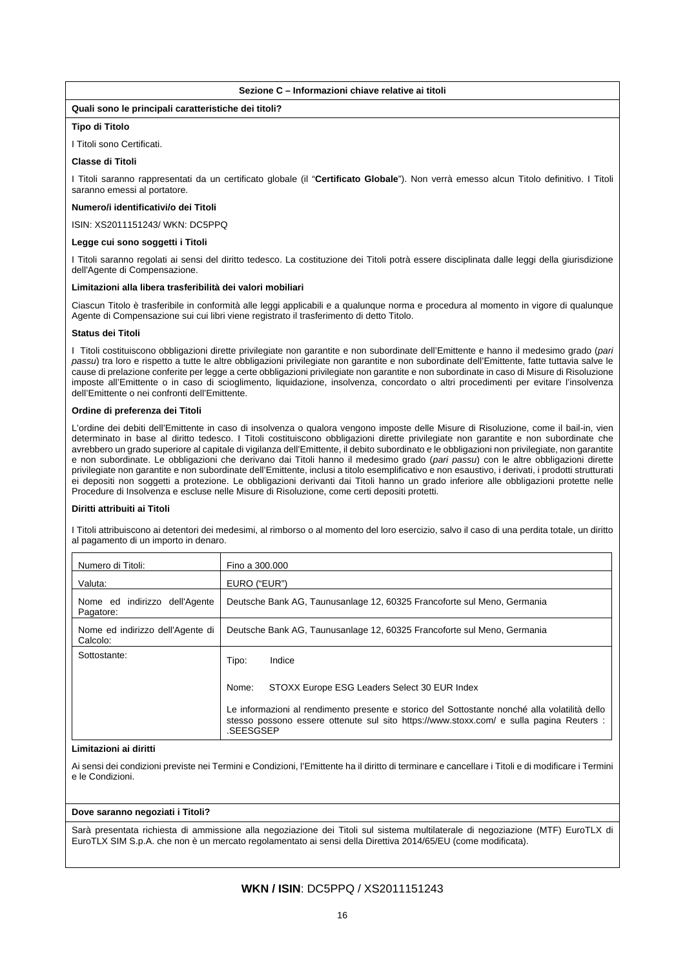### **Sezione C – Informazioni chiave relative ai titoli**

### **Quali sono le principali caratteristiche dei titoli?**

### **Tipo di Titolo**

I Titoli sono Certificati.

### **Classe di Titoli**

I Titoli saranno rappresentati da un certificato globale (il "**Certificato Globale**"). Non verrà emesso alcun Titolo definitivo. I Titoli saranno emessi al portatore.

### **Numero/i identificativi/o dei Titoli**

ISIN: XS2011151243/ WKN: DC5PPQ

### **Legge cui sono soggetti i Titoli**

I Titoli saranno regolati ai sensi del diritto tedesco. La costituzione dei Titoli potrà essere disciplinata dalle leggi della giurisdizione dell'Agente di Compensazione.

### **Limitazioni alla libera trasferibilità dei valori mobiliari**

Ciascun Titolo è trasferibile in conformità alle leggi applicabili e a qualunque norma e procedura al momento in vigore di qualunque Agente di Compensazione sui cui libri viene registrato il trasferimento di detto Titolo.

### **Status dei Titoli**

I Titoli costituiscono obbligazioni dirette privilegiate non garantite e non subordinate dell'Emittente e hanno il medesimo grado (*pari passu*) tra loro e rispetto a tutte le altre obbligazioni privilegiate non garantite e non subordinate dell'Emittente, fatte tuttavia salve le cause di prelazione conferite per legge a certe obbligazioni privilegiate non garantite e non subordinate in caso di Misure di Risoluzione imposte all'Emittente o in caso di scioglimento, liquidazione, insolvenza, concordato o altri procedimenti per evitare l'insolvenza dell'Emittente o nei confronti dell'Emittente.

### **Ordine di preferenza dei Titoli**

L'ordine dei debiti dell'Emittente in caso di insolvenza o qualora vengono imposte delle Misure di Risoluzione, come il bail-in, vien determinato in base al diritto tedesco. I Titoli costituiscono obbligazioni dirette privilegiate non garantite e non subordinate che avrebbero un grado superiore al capitale di vigilanza dell'Emittente, il debito subordinato e le obbligazioni non privilegiate, non garantite e non subordinate. Le obbligazioni che derivano dai Titoli hanno il medesimo grado (*pari passu*) con le altre obbligazioni dirette privilegiate non garantite e non subordinate dell'Emittente, inclusi a titolo esemplificativo e non esaustivo, i derivati, i prodotti strutturati ei depositi non soggetti a protezione. Le obbligazioni derivanti dai Titoli hanno un grado inferiore alle obbligazioni protette nelle Procedure di Insolvenza e escluse nelle Misure di Risoluzione, come certi depositi protetti.

### **Diritti attribuiti ai Titoli**

I Titoli attribuiscono ai detentori dei medesimi, al rimborso o al momento del loro esercizio, salvo il caso di una perdita totale, un diritto al pagamento di un importo in denaro.

| Numero di Titoli:                            | Fino a 300,000                                                                                                                                                                                        |
|----------------------------------------------|-------------------------------------------------------------------------------------------------------------------------------------------------------------------------------------------------------|
| Valuta:                                      | EURO ("EUR")                                                                                                                                                                                          |
| Nome ed indirizzo dell'Agente<br>Pagatore:   | Deutsche Bank AG, Taunusanlage 12, 60325 Francoforte sul Meno, Germania                                                                                                                               |
| Nome ed indirizzo dell'Agente di<br>Calcolo: | Deutsche Bank AG, Taunusanlage 12, 60325 Francoforte sul Meno, Germania                                                                                                                               |
| Sottostante:                                 | Indice<br>Tipo:                                                                                                                                                                                       |
|                                              | STOXX Europe ESG Leaders Select 30 EUR Index<br>Nome:                                                                                                                                                 |
|                                              | Le informazioni al rendimento presente e storico del Sottostante nonché alla volatilità dello<br>stesso possono essere ottenute sul sito https://www.stoxx.com/ e sulla pagina Reuters :<br>.SEESGSEP |

### **Limitazioni ai diritti**

Ai sensi dei condizioni previste nei Termini e Condizioni, l'Emittente ha il diritto di terminare e cancellare i Titoli e di modificare i Termini e le Condizioni.

### **Dove saranno negoziati i Titoli?**

Sarà presentata richiesta di ammissione alla negoziazione dei Titoli sul sistema multilaterale di negoziazione (MTF) EuroTLX di EuroTLX SIM S.p.A. che non è un mercato regolamentato ai sensi della Direttiva 2014/65/EU (come modificata).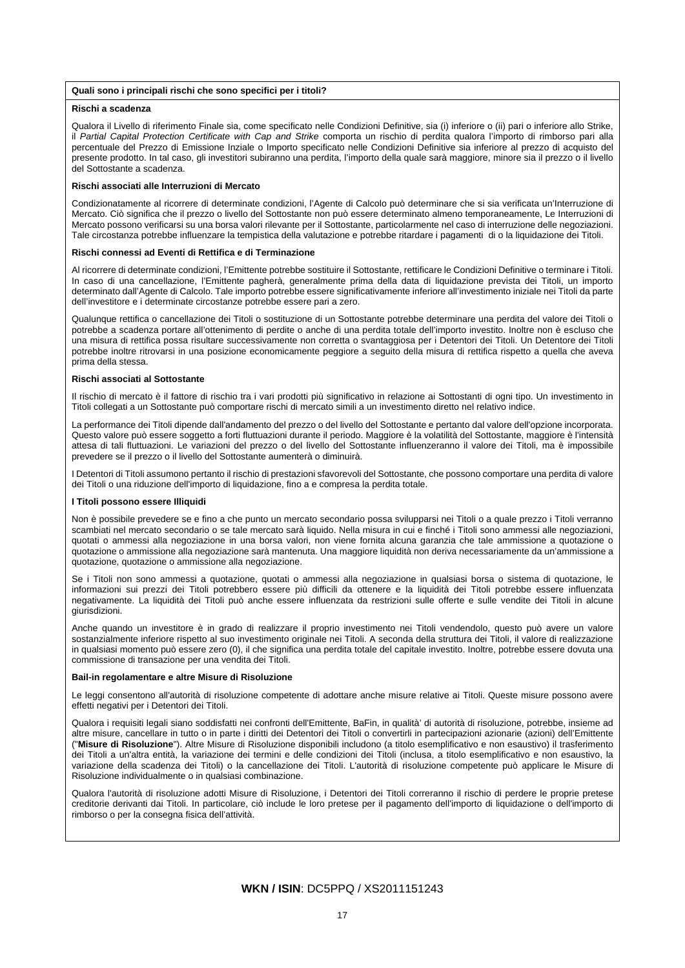#### **Quali sono i principali rischi che sono specifici per i titoli?**

#### **Rischi a scadenza**

Qualora il Livello di riferimento Finale sia, come specificato nelle Condizioni Definitive, sia (i) inferiore o (ii) pari o inferiore allo Strike, il *Partial Capital Protection Certificate with Cap and Strike* comporta un rischio di perdita qualora l'importo di rimborso pari alla percentuale del Prezzo di Emissione Inziale o Importo specificato nelle Condizioni Definitive sia inferiore al prezzo di acquisto del presente prodotto. In tal caso, gli investitori subiranno una perdita, l'importo della quale sarà maggiore, minore sia il prezzo o il livello del Sottostante a scadenza.

#### **Rischi associati alle Interruzioni di Mercato**

Condizionatamente al ricorrere di determinate condizioni, l'Agente di Calcolo può determinare che si sia verificata un'Interruzione di Mercato. Ciò significa che il prezzo o livello del Sottostante non può essere determinato almeno temporaneamente, Le Interruzioni di Mercato possono verificarsi su una borsa valori rilevante per il Sottostante, particolarmente nel caso di interruzione delle negoziazioni. Tale circostanza potrebbe influenzare la tempistica della valutazione e potrebbe ritardare i pagamenti di o la liquidazione dei Titoli.

#### **Rischi connessi ad Eventi di Rettifica e di Terminazione**

Al ricorrere di determinate condizioni, l'Emittente potrebbe sostituire il Sottostante, rettificare le Condizioni Definitive o terminare i Titoli. In caso di una cancellazione, l'Emittente pagherà, generalmente prima della data di liquidazione prevista dei Titoli, un importo determinato dall'Agente di Calcolo. Tale importo potrebbe essere significativamente inferiore all'investimento iniziale nei Titoli da parte dell'investitore e i determinate circostanze potrebbe essere pari a zero.

Qualunque rettifica o cancellazione dei Titoli o sostituzione di un Sottostante potrebbe determinare una perdita del valore dei Titoli o potrebbe a scadenza portare all'ottenimento di perdite o anche di una perdita totale dell'importo investito. Inoltre non è escluso che una misura di rettifica possa risultare successivamente non corretta o svantaggiosa per i Detentori dei Titoli. Un Detentore dei Titoli potrebbe inoltre ritrovarsi in una posizione economicamente peggiore a seguito della misura di rettifica rispetto a quella che aveva prima della stessa.

#### **Rischi associati al Sottostante**

Il rischio di mercato è il fattore di rischio tra i vari prodotti più significativo in relazione ai Sottostanti di ogni tipo. Un investimento in Titoli collegati a un Sottostante può comportare rischi di mercato simili a un investimento diretto nel relativo indice.

La performance dei Titoli dipende dall'andamento del prezzo o del livello del Sottostante e pertanto dal valore dell'opzione incorporata. Questo valore può essere soggetto a forti fluttuazioni durante il periodo. Maggiore è la volatilità del Sottostante, maggiore è l'intensità attesa di tali fluttuazioni. Le variazioni del prezzo o del livello del Sottostante influenzeranno il valore dei Titoli, ma è impossibile prevedere se il prezzo o il livello del Sottostante aumenterà o diminuirà.

I Detentori di Titoli assumono pertanto il rischio di prestazioni sfavorevoli del Sottostante, che possono comportare una perdita di valore dei Titoli o una riduzione dell'importo di liquidazione, fino a e compresa la perdita totale.

### **I Titoli possono essere Illiquidi**

Non è possibile prevedere se e fino a che punto un mercato secondario possa svilupparsi nei Titoli o a quale prezzo i Titoli verranno scambiati nel mercato secondario o se tale mercato sarà liquido. Nella misura in cui e finché i Titoli sono ammessi alle negoziazioni, quotati o ammessi alla negoziazione in una borsa valori, non viene fornita alcuna garanzia che tale ammissione a quotazione o quotazione o ammissione alla negoziazione sarà mantenuta. Una maggiore liquidità non deriva necessariamente da un'ammissione a quotazione, quotazione o ammissione alla negoziazione.

Se i Titoli non sono ammessi a quotazione, quotati o ammessi alla negoziazione in qualsiasi borsa o sistema di quotazione, le informazioni sui prezzi dei Titoli potrebbero essere più difficili da ottenere e la liquidità dei Titoli potrebbe essere influenzata negativamente. La liquidità dei Titoli può anche essere influenzata da restrizioni sulle offerte e sulle vendite dei Titoli in alcune giurisdizioni.

Anche quando un investitore è in grado di realizzare il proprio investimento nei Titoli vendendolo, questo può avere un valore sostanzialmente inferiore rispetto al suo investimento originale nei Titoli. A seconda della struttura dei Titoli, il valore di realizzazione in qualsiasi momento può essere zero (0), il che significa una perdita totale del capitale investito. Inoltre, potrebbe essere dovuta una commissione di transazione per una vendita dei Titoli.

### **Bail-in regolamentare e altre Misure di Risoluzione**

Le leggi consentono all'autorità di risoluzione competente di adottare anche misure relative ai Titoli. Queste misure possono avere effetti negativi per i Detentori dei Titoli.

Qualora i requisiti legali siano soddisfatti nei confronti dell'Emittente, BaFin, in qualità' di autorità di risoluzione, potrebbe, insieme ad altre misure, cancellare in tutto o in parte i diritti dei Detentori dei Titoli o convertirli in partecipazioni azionarie (azioni) dell'Emittente ("**Misure di Risoluzione**"). Altre Misure di Risoluzione disponibili includono (a titolo esemplificativo e non esaustivo) il trasferimento dei Titoli a un'altra entità, la variazione dei termini e delle condizioni dei Titoli (inclusa, a titolo esemplificativo e non esaustivo, la variazione della scadenza dei Titoli) o la cancellazione dei Titoli. L'autorità di risoluzione competente può applicare le Misure di Risoluzione individualmente o in qualsiasi combinazione.

Qualora l'autorità di risoluzione adotti Misure di Risoluzione, i Detentori dei Titoli correranno il rischio di perdere le proprie pretese creditorie derivanti dai Titoli. In particolare, ciò include le loro pretese per il pagamento dell'importo di liquidazione o dell'importo di rimborso o per la consegna fisica dell'attività.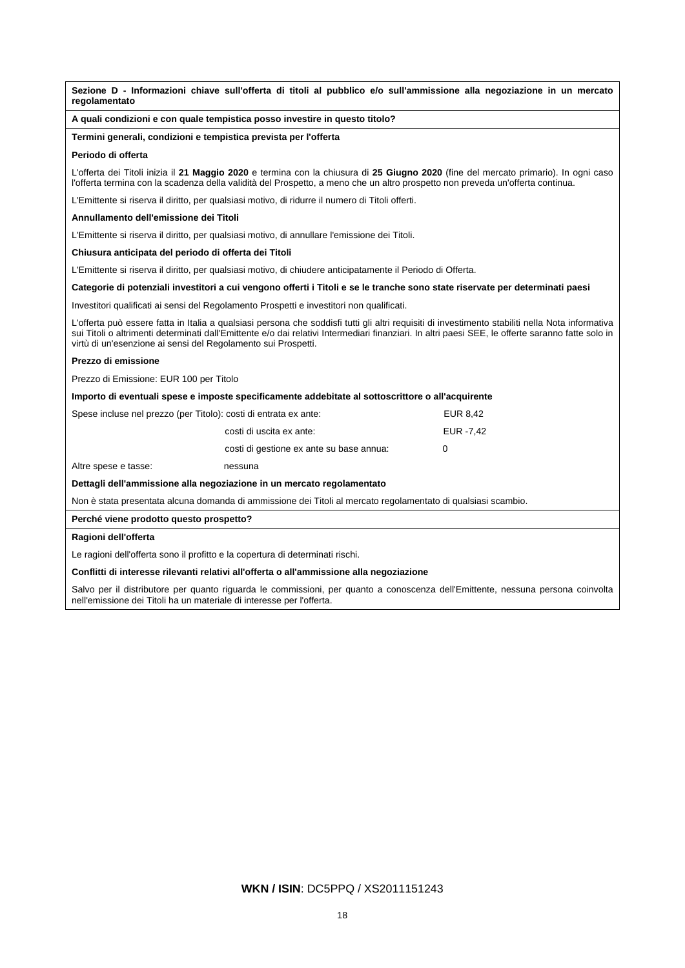| regolamentato                                                                             | Sezione D - Informazioni chiave sull'offerta di titoli al pubblico e/o sull'ammissione alla negoziazione in un mercato                                                                                                                                                                                                                                                 |            |
|-------------------------------------------------------------------------------------------|------------------------------------------------------------------------------------------------------------------------------------------------------------------------------------------------------------------------------------------------------------------------------------------------------------------------------------------------------------------------|------------|
|                                                                                           | A quali condizioni e con quale tempistica posso investire in questo titolo?                                                                                                                                                                                                                                                                                            |            |
|                                                                                           | Termini generali, condizioni e tempistica prevista per l'offerta                                                                                                                                                                                                                                                                                                       |            |
| Periodo di offerta                                                                        |                                                                                                                                                                                                                                                                                                                                                                        |            |
|                                                                                           | L'offerta dei Titoli inizia il 21 Maggio 2020 e termina con la chiusura di 25 Giugno 2020 (fine del mercato primario). In ogni caso<br>l'offerta termina con la scadenza della validità del Prospetto, a meno che un altro prospetto non preveda un'offerta continua.                                                                                                  |            |
|                                                                                           | L'Emittente si riserva il diritto, per qualsiasi motivo, di ridurre il numero di Titoli offerti.                                                                                                                                                                                                                                                                       |            |
| Annullamento dell'emissione dei Titoli                                                    |                                                                                                                                                                                                                                                                                                                                                                        |            |
|                                                                                           | L'Emittente si riserva il diritto, per qualsiasi motivo, di annullare l'emissione dei Titoli.                                                                                                                                                                                                                                                                          |            |
| Chiusura anticipata del periodo di offerta dei Titoli                                     |                                                                                                                                                                                                                                                                                                                                                                        |            |
|                                                                                           | L'Emittente si riserva il diritto, per qualsiasi motivo, di chiudere anticipatamente il Periodo di Offerta.                                                                                                                                                                                                                                                            |            |
|                                                                                           | Categorie di potenziali investitori a cui vengono offerti i Titoli e se le tranche sono state riservate per determinati paesi                                                                                                                                                                                                                                          |            |
| Investitori qualificati ai sensi del Regolamento Prospetti e investitori non qualificati. |                                                                                                                                                                                                                                                                                                                                                                        |            |
|                                                                                           | L'offerta può essere fatta in Italia a qualsiasi persona che soddisfi tutti gli altri requisiti di investimento stabiliti nella Nota informativa<br>sui Titoli o altrimenti determinati dall'Emittente e/o dai relativi Intermediari finanziari. In altri paesi SEE, le offerte saranno fatte solo in<br>virtù di un'esenzione ai sensi del Regolamento sui Prospetti. |            |
| Prezzo di emissione                                                                       |                                                                                                                                                                                                                                                                                                                                                                        |            |
| Prezzo di Emissione: EUR 100 per Titolo                                                   |                                                                                                                                                                                                                                                                                                                                                                        |            |
|                                                                                           | Importo di eventuali spese e imposte specificamente addebitate al sottoscrittore o all'acquirente                                                                                                                                                                                                                                                                      |            |
|                                                                                           | Spese incluse nel prezzo (per Titolo): costi di entrata ex ante:                                                                                                                                                                                                                                                                                                       | EUR 8.42   |
|                                                                                           | costi di uscita ex ante:                                                                                                                                                                                                                                                                                                                                               | EUR - 7,42 |
|                                                                                           | costi di gestione ex ante su base annua:                                                                                                                                                                                                                                                                                                                               | 0          |
| Altre spese e tasse:                                                                      | nessuna                                                                                                                                                                                                                                                                                                                                                                |            |
|                                                                                           | Dettagli dell'ammissione alla negoziazione in un mercato regolamentato                                                                                                                                                                                                                                                                                                 |            |
|                                                                                           | Non è stata presentata alcuna domanda di ammissione dei Titoli al mercato regolamentato di qualsiasi scambio.                                                                                                                                                                                                                                                          |            |
| Perché viene prodotto questo prospetto?                                                   |                                                                                                                                                                                                                                                                                                                                                                        |            |
| Ragioni dell'offerta                                                                      |                                                                                                                                                                                                                                                                                                                                                                        |            |

Le ragioni dell'offerta sono il profitto e la copertura di determinati rischi.

# **Conflitti di interesse rilevanti relativi all'offerta o all'ammissione alla negoziazione**

Salvo per il distributore per quanto riguarda le commissioni, per quanto a conoscenza dell'Emittente, nessuna persona coinvolta nell'emissione dei Titoli ha un materiale di interesse per l'offerta.